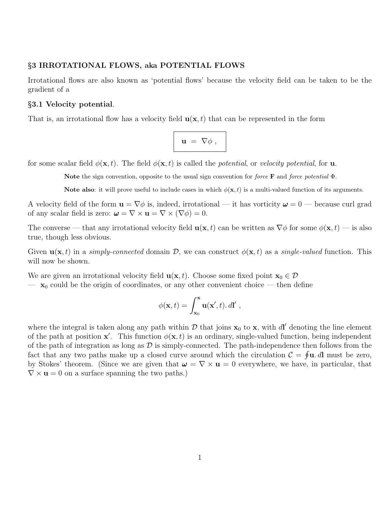# §3 IRROTATIONAL FLOWS, aka POTENTIAL FLOWS

Irrotational flows are also known as 'potential flows' because the velocity field can be taken to be the gradient of a

## §3.1 Velocity potential.

That is, an irrotational flow has a velocity field  $\mathbf{u}(\mathbf{x},t)$  that can be represented in the form

$$
\mathbf{u} = \nabla \phi ,
$$

for some scalar field  $\phi(\mathbf{x}, t)$ . The field  $\phi(\mathbf{x}, t)$  is called the *potential*, or *velocity potential*, for **u**.

Note the sign convention, opposite to the usual sign convention for force **F** and force potential  $\Phi$ .

Note also: it will prove useful to include cases in which  $\phi(\mathbf{x}, t)$  is a multi-valued function of its arguments.

A velocity field of the form  $\mathbf{u} = \nabla \phi$  is, indeed, irrotational — it has vorticity  $\mathbf{\omega} = 0$  — because curl grad of any scalar field is zero:  $\boldsymbol{\omega} = \nabla \times \mathbf{u} = \nabla \times (\nabla \phi) = 0.$ 

The converse — that any irrotational velocity field  $\mathbf{u}(\mathbf{x}, t)$  can be written as  $\nabla \phi$  for some  $\phi(\mathbf{x}, t)$  — is also true, though less obvious.

Given  $\mathbf{u}(\mathbf{x}, t)$  in a simply-connected domain D, we can construct  $\phi(\mathbf{x}, t)$  as a single-valued function. This will now be shown.

We are given an irrotational velocity field  $\mathbf{u}(\mathbf{x}, t)$ . Choose some fixed point  $\mathbf{x}_0 \in \mathcal{D}$ 

 $-\mathbf{x}_0$  could be the origin of coordinates, or any other convenient choice — then define

$$
\phi(\mathbf{x},t) = \int_{\mathbf{x}_0}^{\mathbf{x}} \mathbf{u}(\mathbf{x}',t) \, dt',
$$

where the integral is taken along any path within  $D$  that joins  $x_0$  to x, with dl' denoting the line element of the path at position  $\mathbf{x}'$ . This function  $\phi(\mathbf{x},t)$  is an ordinary, single-valued function, being independent of the path of integration as long as  $D$  is simply-connected. The path-independence then follows from the fact that any two paths make up a closed curve around which the circulation  $\mathcal{C} = \oint \mathbf{u} \cdot d\mathbf{l}$  must be zero, by Stokes' theorem. (Since we are given that  $\mathbf{\omega} = \nabla \times \mathbf{u} = 0$  everywhere, we have, in particular, that  $\nabla \times \mathbf{u} = 0$  on a surface spanning the two paths.)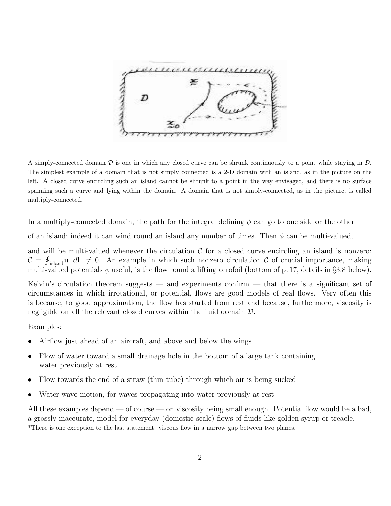

A simply-connected domain  $D$  is one in which any closed curve can be shrunk continuously to a point while staying in  $D$ . The simplest example of a domain that is not simply connected is a 2-D domain with an island, as in the picture on the left. A closed curve encircling such an island cannot be shrunk to a point in the way envisaged, and there is no surface spanning such a curve and lying within the domain. A domain that is not simply-connected, as in the picture, is called multiply-connected.

In a multiply-connected domain, the path for the integral defining  $\phi$  can go to one side or the other

of an island; indeed it can wind round an island any number of times. Then  $\phi$  can be multi-valued,

and will be multi-valued whenever the circulation  $C$  for a closed curve encircling an island is nonzero:  $\mathcal{C} = \oint_{\text{island}} \mathbf{u} \cdot d\mathbf{l} \neq 0$ . An example in which such nonzero circulation C of crucial importance, making multi-valued potentials  $\phi$  useful, is the flow round a lifting aerofoil (bottom of p. 17, details in §3.8 below).

Kelvin's circulation theorem suggests — and experiments confirm — that there is a significant set of circumstances in which irrotational, or potential, flows are good models of real flows. Very often this is because, to good approximation, the flow has started from rest and because, furthermore, viscosity is negligible on all the relevant closed curves within the fluid domain  $\mathcal{D}$ .

# Examples:

- Airflow just ahead of an aircraft, and above and below the wings
- Flow of water toward a small drainage hole in the bottom of a large tank containing water previously at rest
- Flow towards the end of a straw (thin tube) through which air is being sucked
- Water wave motion, for waves propagating into water previously at rest

All these examples depend — of course — on viscosity being small enough. Potential flow would be a bad, a grossly inaccurate, model for everyday (domestic-scale) flows of fluids like golden syrup or treacle. \*There is one exception to the last statement: viscous flow in a narrow gap between two planes.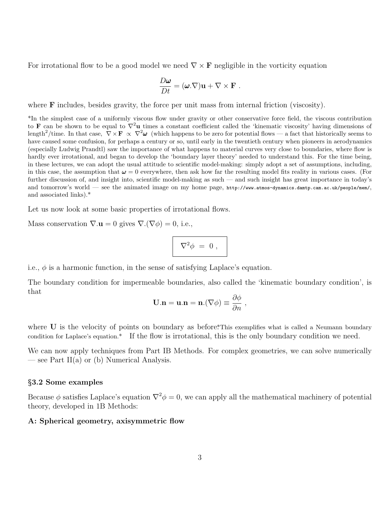For irrotational flow to be a good model we need  $\nabla \times \mathbf{F}$  negligible in the vorticity equation

$$
\frac{D\omega}{Dt} = (\omega \cdot \nabla) \mathbf{u} + \nabla \times \mathbf{F} .
$$

where **F** includes, besides gravity, the force per unit mass from internal friction (viscosity).

\*In the simplest case of a uniformly viscous flow under gravity or other conservative force field, the viscous contribution to **F** can be shown to be equal to  $\nabla^2$ **u** times a constant coefficient called the 'kinematic viscosity' having dimensions of length<sup>2</sup>/time. In that case,  $\nabla \times \mathbf{F} \propto \nabla^2 \boldsymbol{\omega}$  (which happens to be zero for potential flows — a fact that historically seems to have caused some confusion, for perhaps a century or so, until early in the twentieth century when pioneers in aerodynamics (especially Ludwig Prandtl) saw the importance of what happens to material curves very close to boundaries, where flow is hardly ever irrotational, and began to develop the 'boundary layer theory' needed to understand this. For the time being, in these lectures, we can adopt the usual attitude to scientific model-making: simply adopt a set of assumptions, including, in this case, the assumption that  $\omega = 0$  everywhere, then ask how far the resulting model fits reality in various cases. (For further discussion of, and insight into, scientific model-making as such — and such insight has great importance in today's and tomorrow's world — see the animated image on my home page, http://www.atmos-dynamics.damtp.cam.ac.uk/people/mem/, and associated links).\*

Let us now look at some basic properties of irrotational flows.

Mass conservation  $\nabla \cdot \mathbf{u} = 0$  gives  $\nabla \cdot (\nabla \phi) = 0$ , i.e.,

$$
\nabla^2 \phi = 0 ,
$$

i.e.,  $\phi$  is a harmonic function, in the sense of satisfying Laplace's equation.

The boundary condition for impermeable boundaries, also called the 'kinematic boundary condition', is that

$$
\mathbf{U}.\mathbf{n} = \mathbf{u}.\mathbf{n} = \mathbf{n}.(\nabla \phi) \equiv \frac{\partial \phi}{\partial n} ,
$$

where U is the velocity of points on boundary as before.\*This exemplifies what is called a Neumann boundary condition for Laplace's equation.\* If the flow is irrotational, this is the only boundary condition we need.

We can now apply techniques from Part IB Methods. For complex geometries, we can solve numerically — see Part II(a) or (b) Numerical Analysis.

#### §3.2 Some examples

Because  $\phi$  satisfies Laplace's equation  $\nabla^2 \phi = 0$ , we can apply all the mathematical machinery of potential theory, developed in 1B Methods:

# A: Spherical geometry, axisymmetric flow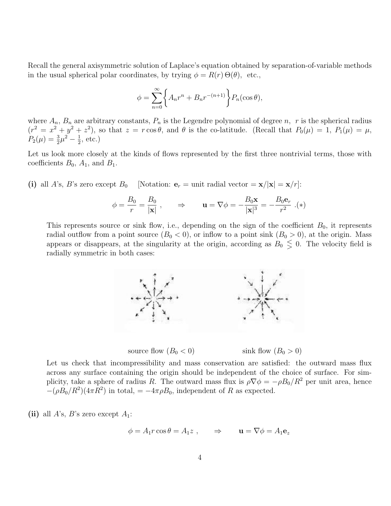Recall the general axisymmetric solution of Laplace's equation obtained by separation-of-variable methods in the usual spherical polar coordinates, by trying  $\phi = R(r) \Theta(\theta)$ , etc.,

$$
\phi = \sum_{n=0}^{\infty} \left\{ A_n r^n + B_n r^{-(n+1)} \right\} P_n(\cos \theta),
$$

where  $A_n$ ,  $B_n$  are arbitrary constants,  $P_n$  is the Legendre polynomial of degree n, r is the spherical radius  $(r^2 = x^2 + y^2 + z^2)$ , so that  $z = r \cos \theta$ , and  $\theta$  is the co-latitude. (Recall that  $P_0(\mu) = 1$ ,  $P_1(\mu) = \mu$ ,  $P_2(\mu) = \frac{3}{2}\mu^2 - \frac{1}{2}$  $\frac{1}{2}$ , etc.)

Let us look more closely at the kinds of flows represented by the first three nontrivial terms, those with coefficients  $B_0$ ,  $A_1$ , and  $B_1$ .

(i) all A's, B's zero except  $B_0$  [Notation:  $\mathbf{e}_r = \text{unit radial vector} = \mathbf{x}/|\mathbf{x}| = \mathbf{x}/r$ ]:

$$
\phi = \frac{B_0}{r} = \frac{B_0}{|\mathbf{x}|} , \qquad \Rightarrow \qquad \mathbf{u} = \nabla \phi = -\frac{B_0 \mathbf{x}}{|\mathbf{x}|^3} = -\frac{B_0 \mathbf{e}_r}{r^2} . (*)
$$

This represents source or sink flow, i.e., depending on the sign of the coefficient  $B_0$ , it represents radial outflow from a point source  $(B_0 < 0)$ , or inflow to a point sink  $(B_0 > 0)$ , at the origin. Mass appears or disappears, at the singularity at the origin, according as  $B_0 \leq 0$ . The velocity field is radially symmetric in both cases:



source flow  $(B_0 < 0)$  sink flow  $(B_0 > 0)$ 

Let us check that incompressibility and mass conservation are satisfied: the outward mass flux across any surface containing the origin should be independent of the choice of surface. For simplicity, take a sphere of radius R. The outward mass flux is  $\rho \nabla \phi = -\rho B_0/R^2$  per unit area, hence  $-(\rho B_0/R^2)(4\pi R^2)$  in total,  $=-4\pi \rho B_0$ , independent of R as expected.

(ii) all A's, B's zero except  $A_1$ :

$$
\phi = A_1 r \cos \theta = A_1 z \ , \qquad \Rightarrow \qquad \mathbf{u} = \nabla \phi = A_1 \mathbf{e}_z
$$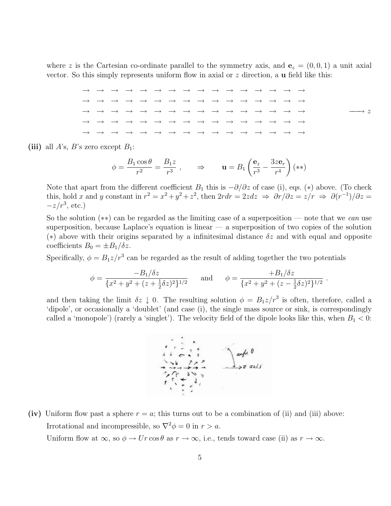where z is the Cartesian co-ordinate parallel to the symmetry axis, and  ${\bf e}_z = (0, 0, 1)$  a unit axial vector. So this simply represents uniform flow in axial or z direction, a u field like this:

(iii) all A's, B's zero except  $B_1$ :

$$
\phi = \frac{B_1 \cos \theta}{r^2} = \frac{B_1 z}{r^3} , \qquad \Rightarrow \qquad \mathbf{u} = B_1 \left( \frac{\mathbf{e}_z}{r^3} - \frac{3z \mathbf{e}_r}{r^4} \right) (**)
$$

Note that apart from the different coefficient  $B_1$  this is  $-\partial/\partial z$  of case (i), eqs. (\*) above. (To check this, hold x and y constant in  $r^2 = x^2 + y^2 + z^2$ , then  $2rdr = 2zdz \Rightarrow \frac{\partial r}{\partial z} = \frac{z}{r} \Rightarrow \frac{\partial (r^{-1})}{\partial z} =$  $-z/r^3$ , etc.)

So the solution  $(**)$  can be regarded as the limiting case of a superposition — note that we can use superposition, because Laplace's equation is linear  $-$  a superposition of two copies of the solution (\*) above with their origins separated by a infinitesimal distance  $\delta z$  and with equal and opposite coefficients  $B_0 = \pm B_1/\delta z$ .

Specifically,  $\phi = B_1 z/r^3$  can be regarded as the result of adding together the two potentials

$$
\phi = \frac{-B_1/\delta z}{\{x^2 + y^2 + (z + \frac{1}{2}\delta z)^2\}^{1/2}} \quad \text{and} \quad \phi = \frac{+B_1/\delta z}{\{x^2 + y^2 + (z - \frac{1}{2}\delta z)^2\}^{1/2}}.
$$

and then taking the limit  $\delta z \downarrow 0$ . The resulting solution  $\phi = B_1 z/r^3$  is often, therefore, called a 'dipole', or occasionally a 'doublet' (and case (i), the single mass source or sink, is correspondingly called a 'monopole') (rarely a 'singlet'). The velocity field of the dipole looks like this, when  $B_1 < 0$ :



(iv) Uniform flow past a sphere  $r = a$ ; this turns out to be a combination of (ii) and (iii) above: Irrotational and incompressible, so  $\nabla^2 \phi = 0$  in  $r > a$ .

Uniform flow at  $\infty$ , so  $\phi \to Ur \cos \theta$  as  $r \to \infty$ , i.e., tends toward case (ii) as  $r \to \infty$ .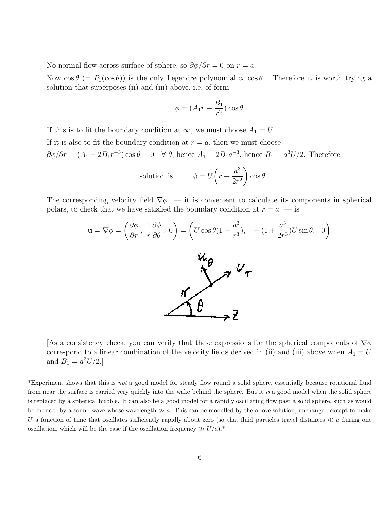No normal flow across surface of sphere, so  $\partial \phi / \partial r = 0$  on  $r = a$ .

Now  $\cos \theta$  (=  $P_1(\cos \theta)$ ) is the only Legendre polynomial  $\alpha \cos \theta$ . Therefore it is worth trying a solution that superposes (ii) and (iii) above, i.e. of form

$$
\phi = (A_1r + \frac{B_1}{r^2})\cos\theta
$$

If this is to fit the boundary condition at  $\infty$ , we must choose  $A_1 = U$ . If it is also to fit the boundary condition at  $r = a$ , then we must choose  $\partial \phi / \partial r = (A_1 - 2B_1 r^{-3}) \cos \theta = 0 \quad \forall \ \theta$ , hence  $A_1 = 2B_1 a^{-3}$ , hence  $B_1 = a^3 U/2$ . Therefore

solution is 
$$
\phi = U \left( r + \frac{a^3}{2r^2} \right) \cos \theta
$$
.

The corresponding velocity field  $\nabla \phi$  — it is convenient to calculate its components in spherical polars, to check that we have satisfied the boundary condition at  $r = a$  — is



[As a consistency check, you can verify that these expressions for the spherical components of  $\nabla \phi$ correspond to a linear combination of the velocity fields derived in (ii) and (iii) above when  $A_1 = U$ and  $B_1 = a^3 U/2.$ 

\*Experiment shows that this is not a good model for steady flow round a solid sphere, essentially because rotational fluid from near the surface is carried very quickly into the wake behind the sphere. But it is a good model when the solid sphere is replaced by a spherical bubble. It can also be a good model for a rapidly oscillating flow past a solid sphere, such as would be induced by a sound wave whose wavelength  $\gg a$ . This can be modelled by the above solution, unchanged except to make U a function of time that oscillates sufficiently rapidly about zero (so that fluid particles travel distances  $\ll a$  during one oscillation, which will be the case if the oscillation frequency  $\gg U/a$ .\*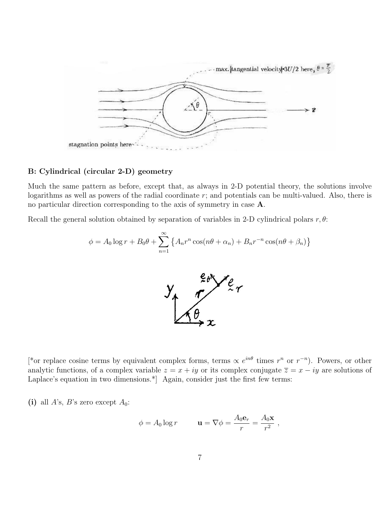

#### B: Cylindrical (circular 2-D) geometry

Much the same pattern as before, except that, as always in 2-D potential theory, the solutions involve logarithms as well as powers of the radial coordinate r; and potentials can be multi-valued. Also, there is no particular direction corresponding to the axis of symmetry in case A.

Recall the general solution obtained by separation of variables in 2-D cylindrical polars  $r, \theta$ :

$$
\phi = A_0 \log r + B_0 \theta + \sum_{n=1}^{\infty} \left\{ A_n r^n \cos(n\theta + \alpha_n) + B_n r^{-n} \cos(n\theta + \beta_n) \right\}
$$



[\*or replace cosine terms by equivalent complex forms, terms  $\propto e^{in\theta}$  times  $r^n$  or  $r^{-n}$ ). Powers, or other analytic functions, of a complex variable  $z = x + iy$  or its complex conjugate  $\overline{z} = x - iy$  are solutions of Laplace's equation in two dimensions.<sup>\*</sup> Again, consider just the first few terms:

(i) all A's, B's zero except  $A_0$ :

$$
\phi = A_0 \log r \qquad \quad \mathbf{u} = \nabla \phi = \frac{A_0 \mathbf{e}_r}{r} = \frac{A_0 \mathbf{x}}{r^2} \ ,
$$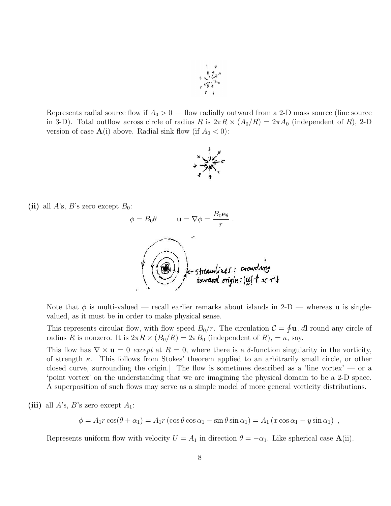

Represents radial source flow if  $A_0 > 0$  — flow radially outward from a 2-D mass source (line source in 3-D). Total outflow across circle of radius R is  $2\pi R \times (A_0/R) = 2\pi A_0$  (independent of R), 2-D version of case  $\mathbf{A}(i)$  above. Radial sink flow (if  $A_0 < 0$ ):



(ii) all A's, B's zero except  $B_0$ :



Note that  $\phi$  is multi-valued — recall earlier remarks about islands in 2-D — whereas **u** is singlevalued, as it must be in order to make physical sense.

This represents circular flow, with flow speed  $B_0/r$ . The circulation  $\mathcal{C} = \oint \mathbf{u} \cdot d\mathbf{l}$  round any circle of radius R is nonzero. It is  $2\pi R \times (B_0/R) = 2\pi B_0$  (independent of R),  $= \kappa$ , say.

This flow has  $\nabla \times \mathbf{u} = 0$  except at  $R = 0$ , where there is a  $\delta$ -function singularity in the vorticity, of strength  $\kappa$ . [This follows from Stokes' theorem applied to an arbitrarily small circle, or other closed curve, surrounding the origin. The flow is sometimes described as a 'line vortex'  $-$  or a 'point vortex' on the understanding that we are imagining the physical domain to be a 2-D space. A superposition of such flows may serve as a simple model of more general vorticity distributions.

(iii) all A's, B's zero except  $A_1$ :

 $\phi = A_1 r \cos(\theta + \alpha_1) = A_1 r (\cos \theta \cos \alpha_1 - \sin \theta \sin \alpha_1) = A_1 (x \cos \alpha_1 - y \sin \alpha_1)$ ,

Represents uniform flow with velocity  $U = A_1$  in direction  $\theta = -\alpha_1$ . Like spherical case **A**(ii).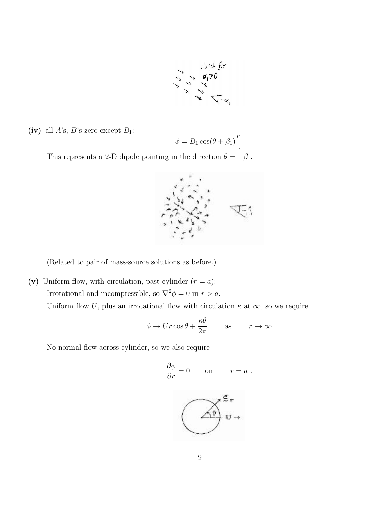

(iv) all  $A$ 's,  $B$ 's zero except  $B_1$ :

$$
\phi = B_1 \cos(\theta + \beta_1)^T
$$

This represents a 2-D dipole pointing in the direction  $\theta = -\beta_1$ .



(Related to pair of mass-source solutions as before.)

(v) Uniform flow, with circulation, past cylinder  $(r = a)$ : Irrotational and incompressible, so  $\nabla^2 \phi = 0$  in  $r > a$ . Uniform flow U, plus an irrotational flow with circulation  $\kappa$  at  $\infty$ , so we require

$$
\phi \to Ur \cos \theta + \frac{\kappa \theta}{2\pi} \qquad \text{as} \qquad r \to \infty
$$

No normal flow across cylinder, so we also require

$$
\frac{\partial \phi}{\partial r} = 0 \qquad \text{on} \qquad r = a \; .
$$

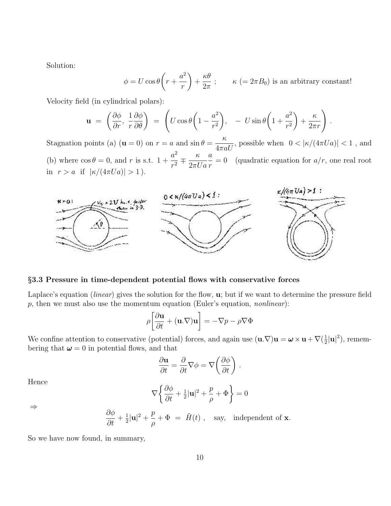Solution:

$$
\phi = U \cos \theta \left( r + \frac{a^2}{r} \right) + \frac{\kappa \theta}{2\pi} ; \qquad \kappa \ ( = 2\pi B_0) \text{ is an arbitrary constant!}
$$

Velocity field (in cylindrical polars):

$$
\mathbf{u} = \left(\frac{\partial \phi}{\partial r}, \frac{1}{r} \frac{\partial \phi}{\partial \theta}\right) = \left(U \cos \theta \left(1 - \frac{a^2}{r^2}\right), -U \sin \theta \left(1 + \frac{a^2}{r^2}\right) + \frac{\kappa}{2\pi r}\right).
$$

Stagnation points (a)  $(\mathbf{u} = 0)$  on  $r = a$  and  $\sin \theta =$ κ  $4\pi aU$ , possible when  $0 < |\kappa/(4\pi Ua)| < 1$ , and (b) where  $\cos \theta = 0$ , and r is s.t. 1 +  $a^2$  $\frac{a^2}{r^2} \mp \frac{\kappa}{2\pi l}$  $2\pi U a$ a r  $= 0$  (quadratic equation for  $a/r$ , one real root in  $r > a$  if  $|\kappa/(4\pi U a)| > 1$ .



#### §3.3 Pressure in time-dependent potential flows with conservative forces

Laplace's equation (*linear*) gives the solution for the flow, **u**; but if we want to determine the pressure field  $p$ , then we must also use the momentum equation (Euler's equation, *nonlinear*):

$$
\rho \left[ \frac{\partial \mathbf{u}}{\partial t} + (\mathbf{u}.\nabla) \mathbf{u} \right] = -\nabla p - \rho \nabla \Phi
$$

We confine attention to conservative (potential) forces, and again use  $(\mathbf{u}.\nabla)\mathbf{u} = \boldsymbol{\omega} \times \mathbf{u} + \nabla(\frac{1}{2})$  $\frac{1}{2}|\mathbf{u}|^2$ ), remembering that  $\boldsymbol{\omega} = 0$  in potential flows, and that

$$
\frac{\partial \mathbf{u}}{\partial t} = \frac{\partial}{\partial t} \nabla \phi = \nabla \left( \frac{\partial \phi}{\partial t} \right) .
$$

Hence

$$
\nabla \left\{ \frac{\partial \phi}{\partial t} + \frac{1}{2} |\mathbf{u}|^2 + \frac{p}{\rho} + \Phi \right\} = 0
$$

⇒

$$
\frac{\partial \phi}{\partial t} + \frac{1}{2} |\mathbf{u}|^2 + \frac{p}{\rho} + \Phi = \tilde{H}(t) , \text{ say, independent of } \mathbf{x}.
$$

So we have now found, in summary,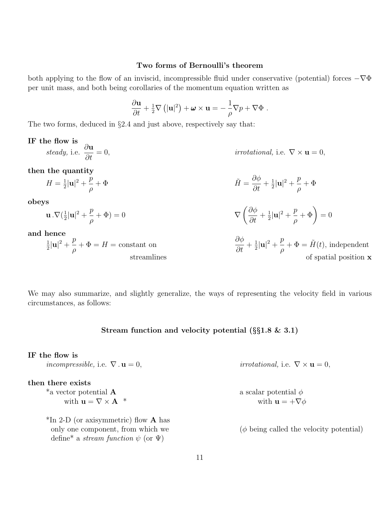#### Two forms of Bernoulli's theorem

both applying to the flow of an inviscid, incompressible fluid under conservative (potential) forces  $-\nabla\Phi$ per unit mass, and both being corollaries of the momentum equation written as

$$
\frac{\partial \mathbf{u}}{\partial t} + \frac{1}{2} \nabla \left( |\mathbf{u}|^2 \right) + \boldsymbol{\omega} \times \mathbf{u} = -\frac{1}{\rho} \nabla p + \nabla \Phi.
$$

The two forms, deduced in §2.4 and just above, respectively say that:

#### IF the flow is steady, *i.e.* ∂u *irrotational*, i.e.  $\nabla \times \mathbf{u} = 0$ ,

then the quantity

$$
\tilde{H} = \frac{1}{2}|\mathbf{u}|^2 + \frac{p}{\rho} + \Phi
$$
\n
$$
\tilde{H} = \frac{\partial \phi}{\partial t} + \frac{1}{2}|\mathbf{u}|^2 + \frac{p}{\rho} + \Phi
$$

obeys

$$
\mathbf{u} \cdot \nabla \left(\frac{1}{2}|\mathbf{u}|^2 + \frac{p}{\rho} + \Phi\right) = 0
$$

and hence

$$
\frac{1}{2}|\mathbf{u}|^2 + \frac{p}{\rho} + \Phi = H = \text{constant on}
$$

define\* a *stream function*  $\psi$  (or  $\Psi$ )

stant on

\n
$$
\frac{\partial \phi}{\partial t} + \frac{1}{2} |\mathbf{u}|^2 + \frac{p}{\rho} + \Phi = \tilde{H}(t), \text{ independent of spatial position } \mathbf{x}
$$

 $+\Phi$ ) = 0

ρ

 $\frac{1}{2}|\mathbf{u}|^2 + \frac{p}{a}$ 

 $\int$   $\partial \phi$  $\frac{\partial \varphi}{\partial t} + \frac{1}{2}$ 

We may also summarize, and slightly generalize, the ways of representing the velocity field in various circumstances, as follows:

#### Stream function and velocity potential (§§1.8 & 3.1)

# IF the flow is incompressible, i.e.  $\nabla \cdot \mathbf{u} = 0$ , irrotational, i.e.  $\nabla \times \mathbf{u} = 0$ , then there exists \*a vector potential  $\bf{A}$  a scalar potential  $\phi$ with  $\mathbf{u} = \nabla \times \mathbf{A}^*$  with  $\mathbf{u} = +\nabla \phi$  $*$ In 2-D (or axisymmetric) flow **A** has

only one component, from which we  $(\phi \text{ being called the velocity potential})$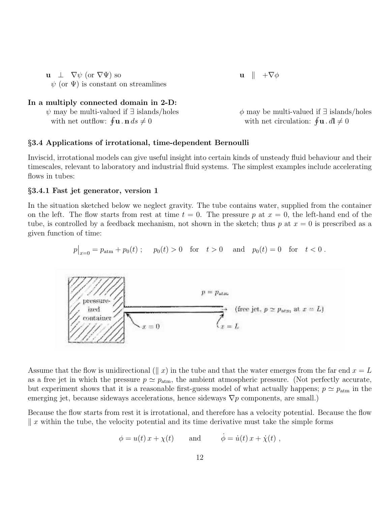u  $\perp$   $\nabla \psi$  (or  $\nabla \Psi$ ) so u  $\parallel +\nabla \phi$  $\psi$  (or  $\Psi$ ) is constant on streamlines

# In a multiply connected domain in 2-D:

|                                                                 | $\psi$ may be multi-valued if $\exists$ islands/holes |
|-----------------------------------------------------------------|-------------------------------------------------------|
| with net outflow: $\oint \mathbf{u} \cdot \mathbf{n} ds \neq 0$ |                                                       |

 $\phi$  may be multi-valued if ∃ islands/holes  $\mathbf{u} \cdot \mathbf{n} \, ds \neq 0$  with net circulation:  $\oint \mathbf{u} \cdot d\mathbf{l} \neq 0$ 

## §3.4 Applications of irrotational, time-dependent Bernoulli

Inviscid, irrotational models can give useful insight into certain kinds of unsteady fluid behaviour and their timescales, relevant to laboratory and industrial fluid systems. The simplest examples include accelerating flows in tubes:

#### §3.4.1 Fast jet generator, version 1

In the situation sketched below we neglect gravity. The tube contains water, supplied from the container on the left. The flow starts from rest at time  $t = 0$ . The pressure p at  $x = 0$ , the left-hand end of the tube, is controlled by a feedback mechanism, not shown in the sketch; thus p at  $x = 0$  is prescribed as a given function of time:

$$
p|_{x=0} = p_{\text{atm}} + p_0(t)
$$
;  $p_0(t) > 0$  for  $t > 0$  and  $p_0(t) = 0$  for  $t < 0$ .



Assume that the flow is unidirectional ( $\parallel x$ ) in the tube and that the water emerges from the far end  $x = L$ as a free jet in which the pressure  $p \simeq p_{\text{atm}}$ , the ambient atmospheric pressure. (Not perfectly accurate, but experiment shows that it is a reasonable first-guess model of what actually happens;  $p \simeq p_{\text{atm}}$  in the emerging jet, because sideways accelerations, hence sideways  $\nabla p$  components, are small.)

Because the flow starts from rest it is irrotational, and therefore has a velocity potential. Because the flow  $\parallel x$  within the tube, the velocity potential and its time derivative must take the simple forms

$$
\phi = u(t) x + \chi(t)
$$
 and  $\dot{\phi} = \dot{u}(t) x + \dot{\chi}(t)$ ,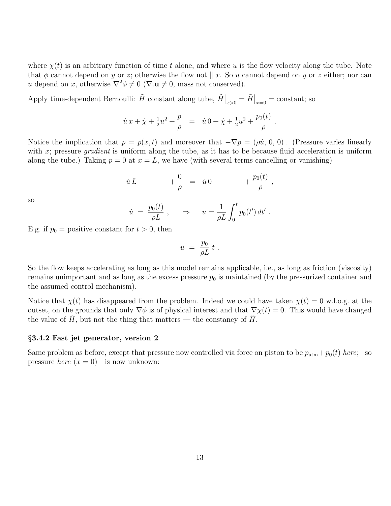where  $\chi(t)$  is an arbitrary function of time t alone, and where u is the flow velocity along the tube. Note that  $\phi$  cannot depend on y or z; otherwise the flow not  $\parallel x$ . So u cannot depend on y or z either; nor can u depend on x, otherwise  $\nabla^2 \phi \neq 0$  ( $\nabla \mathbf{u} \neq 0$ , mass not conserved).

Apply time-dependent Bernoulli:  $\tilde{H}$  constant along tube,  $\tilde{H}\big|_{x>0} = \tilde{H}\big|_{x=0} = \text{constant}$ ; so

$$
\dot{u}x + \dot{\chi} + \frac{1}{2}u^2 + \frac{p}{\rho} = \dot{u}0 + \dot{\chi} + \frac{1}{2}u^2 + \frac{p_0(t)}{\rho}.
$$

Notice the implication that  $p = p(x, t)$  and moreover that  $-\nabla p = (\rho \dot{u}, 0, 0)$ . (Pressure varies linearly with x; pressure *gradient* is uniform along the tube, as it has to be because fluid acceleration is uniform along the tube.) Taking  $p = 0$  at  $x = L$ , we have (with several terms cancelling or vanishing)

$$
\dot{u} L \qquad \qquad +\frac{0}{\rho} \quad = \quad \dot{u} 0 \qquad \qquad +\frac{p_0(t)}{\rho} \; ,
$$

so

$$
\dot{u} = \frac{p_0(t)}{\rho L}, \quad \Rightarrow \quad u = \frac{1}{\rho L} \int_0^t p_0(t') dt'
$$

.

E.g. if  $p_0$  = positive constant for  $t > 0$ , then

$$
u = \frac{p_0}{\rho L} t .
$$

So the flow keeps accelerating as long as this model remains applicable, i.e., as long as friction (viscosity) remains unimportant and as long as the excess pressure  $p_0$  is maintained (by the pressurized container and the assumed control mechanism).

Notice that  $\chi(t)$  has disappeared from the problem. Indeed we could have taken  $\chi(t) = 0$  w.l.o.g. at the outset, on the grounds that only  $\nabla \phi$  is of physical interest and that  $\nabla \chi(t) = 0$ . This would have changed the value of  $H$ , but not the thing that matters — the constancy of  $H$ .

# §3.4.2 Fast jet generator, version 2

Same problem as before, except that pressure now controlled via force on piston to be  $p_{\text{atm}} + p_0(t)$  here; so pressure *here*  $(x = 0)$  is now unknown: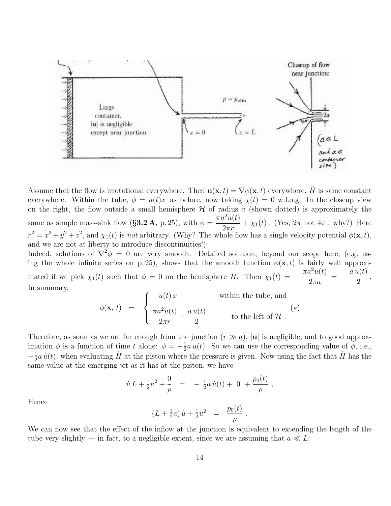

Assume that the flow is irrotational everywhere. Then  $\mathbf{u}(\mathbf{x}, t) = \nabla \phi(\mathbf{x}, t)$  everywhere, H is same constant everywhere. Within the tube,  $\phi = u(t)x$  as before, now taking  $\chi(t) = 0$  w.l.o.g. In the closeup view on the right, the flow outside a small hemisphere  $\mathcal H$  of radius a (shown dotted) is approximately the same as simple mass-sink flow (§3.2 A, p. 25), with  $\phi = \frac{\pi a^2 u(t)}{2}$  $\frac{d^2 u(t)}{2\pi r}$  +  $\chi_1(t)$ . (Yes,  $2\pi$  not  $4\pi$ : why?) Here  $r^2 = x^2 + y^2 + z^2$ , and  $\chi_1(t)$  is not arbitrary. (Why? The whole flow has a single velocity potential  $\phi(\mathbf{x}, t)$ , and we are not at liberty to introduce discontinuities!)

Indeed, solutions of  $\nabla^2 \phi = 0$  are very smooth. Detailed solution, beyond our scope here, (e.g. using the whole infinite series on p. 25), shows that the smooth function  $\phi(\mathbf{x}, t)$  is fairly well approximated if we pick  $\chi_1(t)$  such that  $\phi = 0$  on the hemisphere H. Then  $\chi_1(t) = -\frac{\pi a^2 u(t)}{2\pi a}$  $2\pi a$  $= -\frac{a u(t)}{a}$ 2 . In summary,

$$
\phi(\mathbf{x}, t) = \begin{cases}\nu(t)x & \text{within the tube, and} \\
\frac{\pi a^2 u(t)}{2\pi r} - \frac{a u(t)}{2} & \text{to the left of } \mathcal{H}.\n\end{cases}
$$

Therefore, as soon as we are far enough from the junction  $(r \gg a)$ , |**u**| is negligible, and to good approximation  $\phi$  is a function of time t alone:  $\phi = -\frac{1}{2}$  $\frac{1}{2}a u(t)$ . So we can use the corresponding value of  $\phi$ , i.e.,  $-\frac{1}{2}$  $\frac{1}{2}a\,\dot{u}(t)$ , when evaluating  $\tilde{H}$  at the piston where the pressure is given. Now using the fact that  $\tilde{H}$  has the same value at the emerging jet as it has at the piston, we have

$$
\dot{u} L + \frac{1}{2}u^2 + \frac{0}{\rho} = -\frac{1}{2}a\,\dot{u}(t) + 0 + \frac{p_0(t)}{\rho},
$$

Hence

$$
(L + \frac{1}{2}a)\dot{u} + \frac{1}{2}u^2 = \frac{p_0(t)}{\rho}.
$$

We can now see that the effect of the inflow at the junction is equivalent to extending the length of the tube very slightly — in fact, to a negligible extent, since we are assuming that  $a \ll L$ :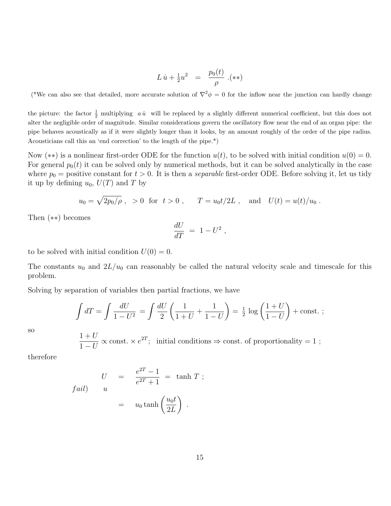$$
L\,\dot{u} + \frac{1}{2}u^2 = \frac{p_0(t)}{\rho} \, .(**)
$$

(\*We can also see that detailed, more accurate solution of  $\nabla^2 \phi = 0$  for the inflow near the junction can hardly change

the picture: the factor  $\frac{1}{2}$  multiplying *a u*<sup> $i$ </sup> will be replaced by a slightly different numerical coefficient, but this does not alter the negligible order of magnitude. Similar considerations govern the oscillatory flow near the end of an organ pipe: the pipe behaves acoustically as if it were slightly longer than it looks, by an amount roughly of the order of the pipe radius. Acousticians call this an 'end correction' to the length of the pipe.\*)

Now (\*\*) is a nonlinear first-order ODE for the function  $u(t)$ , to be solved with initial condition  $u(0) = 0$ . For general  $p_0(t)$  it can be solved only by numerical methods, but it can be solved analytically in the case where  $p_0$  = positive constant for  $t > 0$ . It is then a *separable* first-order ODE. Before solving it, let us tidy it up by defining  $u_0$ ,  $U(T)$  and T by

$$
u_0 = \sqrt{2p_0/\rho}
$$
, > 0 for  $t > 0$ ,  $T = u_0 t/2L$ , and  $U(t) = u(t)/u_0$ .

Then (∗∗) becomes

$$
\frac{dU}{dT} = 1 - U^2,
$$

to be solved with initial condition  $U(0) = 0$ .

The constants  $u_0$  and  $2L/u_0$  can reasonably be called the natural velocity scale and timescale for this problem.

Solving by separation of variables then partial fractions, we have

$$
\int dT = \int \frac{dU}{1 - U^2} = \int \frac{dU}{2} \left( \frac{1}{1 + U} + \frac{1}{1 - U} \right) = \frac{1}{2} \log \left( \frac{1 + U}{1 - U} \right) + \text{const.};
$$

so

 $1+U$  $1-U$  $\propto$  const.  $\times e^{2T}$ ; initial conditions  $\Rightarrow$  const. of proportionality = 1;

therefore

$$
U = \frac{e^{2T} - 1}{e^{2T} + 1} = \tanh T ;
$$
  

$$
I = u_0 \tanh\left(\frac{u_0 t}{2L}\right).
$$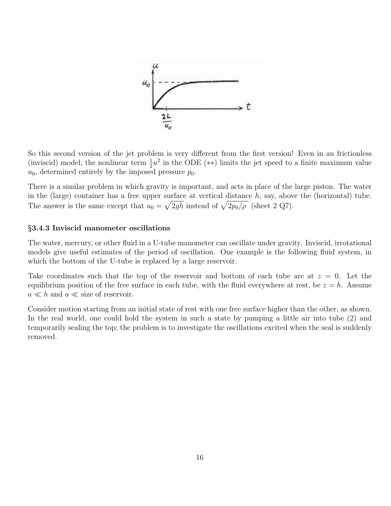

So this second version of the jet problem is very different from the first version! Even in an frictionless (inviscid) model, the nonlinear term  $\frac{1}{2}u^2$  in the ODE (\*\*) limits the jet speed to a finite maximum value  $u_0$ , determined entirely by the imposed pressure  $p_0$ .

There is a similar problem in which gravity is important, and acts in place of the large piston. The water in the (large) container has a free upper surface at vertical distance  $h$ , say, above the (horizontal) tube. The answer is the same except that  $u_0 = \sqrt{2gh}$  instead of  $\sqrt{2p_0/\rho}$  (sheet 2 Q7).

# §3.4.3 Inviscid manometer oscillations

The water, mercury, or other fluid in a U-tube manometer can oscillate under gravity. Inviscid, irrotational models give useful estimates of the period of oscillation. One example is the following fluid system, in which the bottom of the U-tube is replaced by a large reservoir.

Take coordinates such that the top of the reservoir and bottom of each tube are at  $z = 0$ . Let the equilibrium position of the free surface in each tube, with the fluid everywhere at rest, be  $z = h$ . Assume  $a \ll h$  and  $a \ll$  size of reservoir.

Consider motion starting from an initial state of rest with one free surface higher than the other, as shown. In the real world, one could hold the system in such a state by pumping a little air into tube (2) and temporarily sealing the top; the problem is to investigate the oscillations excited when the seal is suddenly removed.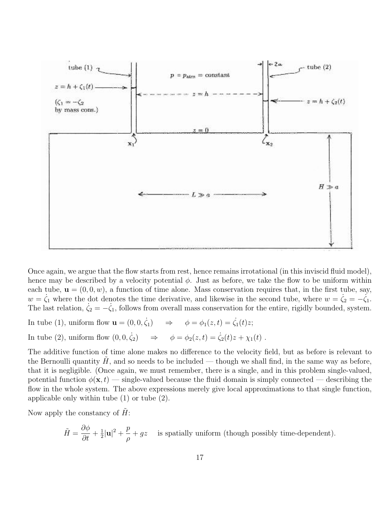

Once again, we argue that the flow starts from rest, hence remains irrotational (in this inviscid fluid model), hence may be described by a velocity potential  $\phi$ . Just as before, we take the flow to be uniform within each tube,  $\mathbf{u} = (0, 0, w)$ , a function of time alone. Mass conservation requires that, in the first tube, say,  $w = \zeta_1$  where the dot denotes the time derivative, and likewise in the second tube, where  $w = \zeta_2 = -\zeta_1$ . The last relation,  $\dot{\zeta}_2 = -\dot{\zeta}_1$ , follows from overall mass conservation for the entire, rigidly bounded, system.

In tube (1), uniform flow  $\mathbf{u} = (0, 0, \dot{\zeta}_1)$  $\Rightarrow \phi = \phi_1(z, t) = \dot{\zeta_1}(t)z;$ In tube (2), uniform flow  $(0, 0, \dot{\zeta}_2) \Rightarrow$  $\phi = \phi_2(z, t) = \dot{\zeta}_2(t)z + \chi_1(t)$ .

The additive function of time alone makes no difference to the velocity field, but as before is relevant to the Bernoulli quantity  $H$ , and so needs to be included — though we shall find, in the same way as before, that it is negligible. (Once again, we must remember, there is a single, and in this problem single-valued, potential function  $\phi(\mathbf{x}, t)$  — single-valued because the fluid domain is simply connected — describing the flow in the whole system. The above expressions merely give local approximations to that single function, applicable only within tube (1) or tube (2).

Now apply the constancy of  $H$ :

 $\tilde{H} = \frac{\partial \phi}{\partial t}$  $\frac{\partial \varphi}{\partial t} + \frac{1}{2}$  $\frac{1}{2}|\mathbf{u}|^2 + \frac{p}{a}$ ρ  $+ gz$  is spatially uniform (though possibly time-dependent).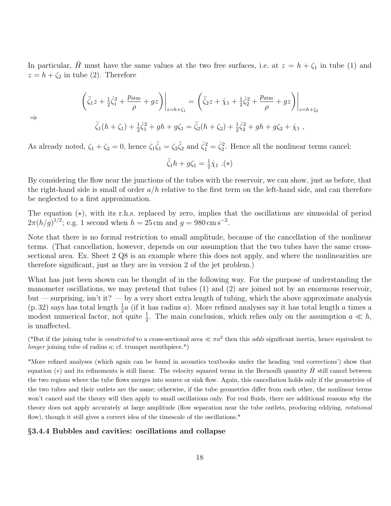In particular,  $\tilde{H}$  must have the same values at the two free surfaces, i.e. at  $z = h + \zeta_1$  in tube (1) and  $z = h + \zeta_2$  in tube (2). Therefore

$$
\left(\ddot{\zeta}_1 z + \frac{1}{2}\dot{\zeta}_1^2 + \frac{p_{\text{atm}}}{\rho} + gz\right)\Big|_{z=h+\zeta_1} = \left(\ddot{\zeta}_2 z + \dot{\chi}_1 + \frac{1}{2}\dot{\zeta}_2^2 + \frac{p_{\text{atm}}}{\rho} + gz\right)\Big|_{z=h+\zeta_2}
$$

$$
\ddot{\zeta}_1(h+\zeta_1) + \frac{1}{2}\dot{\zeta}_1^2 + gh + g\zeta_1 = \ddot{\zeta}_2(h+\zeta_2) + \frac{1}{2}\dot{\zeta}_2^2 + gh + g\zeta_2 + \dot{\chi}_1,
$$

⇒

As already noted,  $\zeta_1 + \zeta_2 = 0$ , hence  $\zeta_1 \ddot{\zeta}_1 = \zeta_2 \ddot{\zeta}_2$  and  $\dot{\zeta}_1^2 = \dot{\zeta}_2^2$ . Hence all the nonlinear terms cancel:

$$
\ddot{\zeta}_1 h + g \zeta_1 = \frac{1}{2} \dot{\chi}_1 \ . (*)
$$

By considering the flow near the junctions of the tubes with the reservoir, we can show, just as before, that the right-hand side is small of order  $a/h$  relative to the first term on the left-hand side, and can therefore be neglected to a first approximation.

The equation (∗), with its r.h.s. replaced by zero, implies that the oscillations are sinusoidal of period  $2\pi (h/g)^{1/2}$ ; e.g. 1 second when  $h = 25$  cm and  $g = 980$  cm s<sup>-2</sup>.

Note that there is no formal restriction to small amplitude, because of the cancellation of the nonlinear terms. (That cancellation, however, depends on our assumption that the two tubes have the same crosssectional area. Ex. Sheet 2 Q8 is an example where this does not apply, and where the nonlinearities are therefore significant, just as they are in version 2 of the jet problem.)

What has just been shown can be thought of in the following way. For the purpose of understanding the manometer oscillations, we may pretend that tubes (1) and (2) are joined not by an enormous reservoir, but — surprising, isn't it? — by a very short extra length of tubing, which the above approximate analysis (p. 32) says has total length  $\frac{1}{2}a$  (if it has radius a). More refined analyses say it has total length a times a modest numerical factor, not quite  $\frac{1}{2}$ . The main conclusion, which relies only on the assumption  $a \ll h$ , is unaffected.

(\*But if the joining tube is *constricted* to a cross-sectional area  $\ll \pi a^2$  then this *adds* significant inertia, hence equivalent to longer joining tube of radius  $a$ ; cf. trumpet mouthpiece.<sup>\*</sup>)

\*More refined analyses (which again can be found in acoustics textbooks under the heading 'end corrections') show that equation  $(*)$  and its refinements is still linear. The velocity squared terms in the Bernoulli quantity  $\hat{H}$  still cancel between the two regions where the tube flows merges into source or sink flow. Again, this cancellation holds only if the geometries of the two tubes and their outlets are the same; otherwise, if the tube geometries differ from each other, the nonlinear terms won't cancel and the theory will then apply to small oscillations only. For real fluids, there are additional reasons why the theory does not apply accurately at large amplitude (flow separation near the tube outlets, producing eddying, rotational flow), though it still gives a correct idea of the timescale of the oscillations.<sup>\*</sup>

## §3.4.4 Bubbles and cavities: oscillations and collapse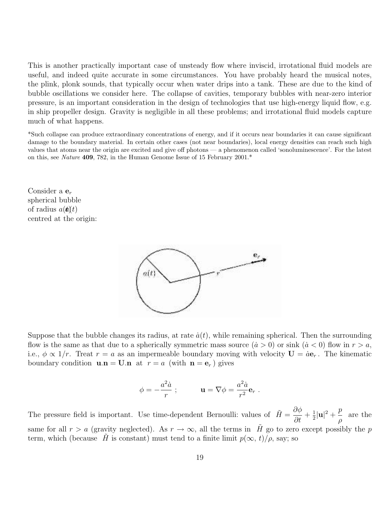This is another practically important case of unsteady flow where inviscid, irrotational fluid models are useful, and indeed quite accurate in some circumstances. You have probably heard the musical notes, the plink, plonk sounds, that typically occur when water drips into a tank. These are due to the kind of bubble oscillations we consider here. The collapse of cavities, temporary bubbles with near-zero interior pressure, is an important consideration in the design of technologies that use high-energy liquid flow, e.g. in ship propeller design. Gravity is negligible in all these problems; and irrotational fluid models capture much of what happens.

\*Such collapse can produce extraordinary concentrations of energy, and if it occurs near boundaries it can cause significant damage to the boundary material. In certain other cases (not near boundaries), local energy densities can reach such high values that atoms near the origin are excited and give off photons — a phenomenon called 'sonoluminescence'. For the latest on this, see Nature 409, 782, in the Human Genome Issue of 15 February 2001.\*

Consider a  $\mathbf{e}_r$ spherical bubble of radius  $a(\boldsymbol{t})t$ centred at the origin:



Suppose that the bubble changes its radius, at rate  $\dot{a}(t)$ , while remaining spherical. Then the surrounding flow is the same as that due to a spherically symmetric mass source  $(\dot{a} > 0)$  or sink  $(\dot{a} < 0)$  flow in  $r > a$ , i.e.,  $\phi \propto 1/r$ . Treat  $r = a$  as an impermeable boundary moving with velocity  $\mathbf{U} = a\mathbf{e}_r$ . The kinematic boundary condition  $\mathbf{u} \cdot \mathbf{n} = \mathbf{U} \cdot \mathbf{n}$  at  $r = a$  (with  $\mathbf{n} = \mathbf{e}_r$ ) gives

$$
\phi = -\frac{a^2 \dot{a}}{r} \; ; \qquad \qquad \mathbf{u} = \nabla \phi = \frac{a^2 \dot{a}}{r^2} \mathbf{e}_r \; .
$$

The pressure field is important. Use time-dependent Bernoulli: values of  $\tilde{H} = \frac{\partial \phi}{\partial t}$  $\frac{\partial \varphi}{\partial t} + \frac{1}{2}$  $\frac{1}{2}|\mathbf{u}|^2 + \frac{p}{a}$ ρ are the same for all  $r > a$  (gravity neglected). As  $r \to \infty$ , all the terms in H go to zero except possibly the p term, which (because H is constant) must tend to a finite limit  $p(\infty, t)/\rho$ , say; so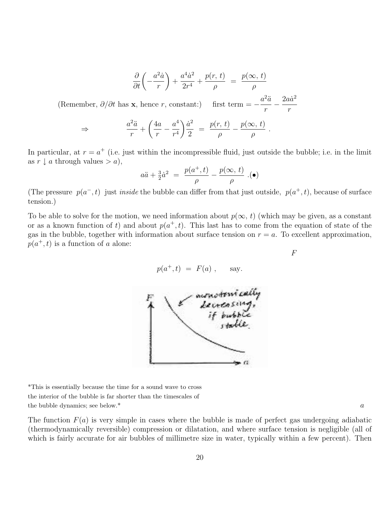$$
\frac{\partial}{\partial t} \left( -\frac{a^2 \dot{a}}{r} \right) + \frac{a^4 \dot{a}^2}{2r^4} + \frac{p(r, t)}{\rho} = \frac{p(\infty, t)}{\rho}
$$

(Remember,  $\partial/\partial t$  has **x**, hence r, constant:)  $a^2\ddot{a}$ r  $=$  $\frac{2a\dot{a}^2}{\cdots}$ r

$$
\Rightarrow \frac{a^2\ddot{a}}{r} + \left(\frac{4a}{r} - \frac{a^4}{r^4}\right)\frac{\dot{a}^2}{2} = \frac{p(r, t)}{\rho} - \frac{p(\infty, t)}{\rho}.
$$

In particular, at  $r = a^+$  (i.e. just within the incompressible fluid, just outside the bubble; i.e. in the limit as  $r \downarrow a$  through values  $> a$ ),

$$
a\ddot{a} + \frac{3}{2}\dot{a}^2 = \frac{p(a^+,t)}{\rho} - \frac{p(\infty,t)}{\rho} . \tag{\bullet}
$$

(The pressure  $p(a^-, t)$  just *inside* the bubble can differ from that just outside,  $p(a^+, t)$ , because of surface tension.)

To be able to solve for the motion, we need information about  $p(\infty, t)$  (which may be given, as a constant or as a known function of t) and about  $p(a^+, t)$ . This last has to come from the equation of state of the gas in the bubble, together with information about surface tension on  $r = a$ . To excellent approximation,  $p(a^+, t)$  is a function of a alone:

$$
p(a^+,t) = F(a) , \quad \text{say.}
$$

F



\*This is essentially because the time for a sound wave to cross the interior of the bubble is far shorter than the timescales of the bubble dynamics; see below.\*  $a$ 

The function  $F(a)$  is very simple in cases where the bubble is made of perfect gas undergoing adiabatic (thermodynamically reversible) compression or dilatation, and where surface tension is negligible (all of which is fairly accurate for air bubbles of millimetre size in water, typically within a few percent). Then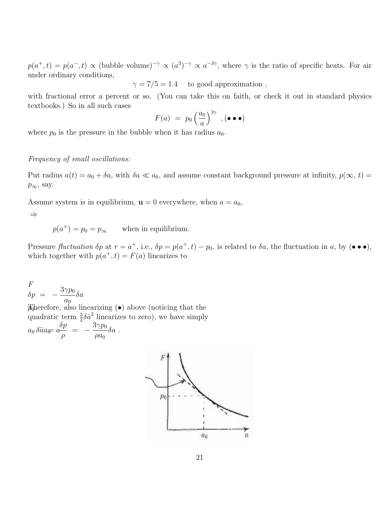$p(a^+, t) = p(a^-, t) \propto (bubble volume)^{-\gamma} \propto (a^3)^{-\gamma} \propto a^{-3\gamma}$ , where  $\gamma$  is the ratio of specific heats. For air under ordinary conditions,

 $\gamma = 7/5 = 1.4$  to good approximation,

with fractional error a percent or so. (You can take this on faith, or check it out in standard physics textbooks.) So in all such cases

$$
F(a) = p_0 \left(\frac{a_0}{a}\right)^{3\gamma}, (\bullet \bullet \bullet)
$$

where  $p_0$  is the pressure in the bubble when it has radius  $a_0$ .

# Frequency of small oscillations:

Put radius  $a(t) = a_0 + \delta a$ , with  $\delta a \ll a_0$ , and assume constant background pressure at infinity,  $p(\infty, t)$  $p_{\infty}$ , say.

Assume system is in equilibrium,  $\mathbf{u} = 0$  everywhere, when  $a = a_0$ ,

⇒

 $p(a^{+}) = p_0 = p_{\infty}$ when in equilibrium.

Pressure *fluctuation*  $\delta p$  at  $r = a^+$ , i.e.,  $\delta p = p(a^+, t) - p_0$ , is related to  $\delta a$ , the fluctuation in a, by  $(\bullet \bullet \bullet)$ , which together with  $p(a^+, t) = F(a)$  linearizes to

F  $\delta p = -\frac{3\gamma p_0}{2}$  $a_0$  $\delta a$  $\mathcal{D}$  herefore, also linearizing  $\ddot{\bullet}$  above (noticing that the quadratic term  $\frac{3}{2}\delta \dot{a}^2$  linearizes to zero), we have simply 2  $a_0\,\delta\ddot{a}a_{\widetilde{\theta^+}}$  $\delta p$ ρ  $=$   $-\frac{3\gamma p_0}{\gamma}$  $\rho a_0$  $a_{\overline{0}} \overline{a} \overline{c} = - \frac{\sigma}{2} \delta a$ .

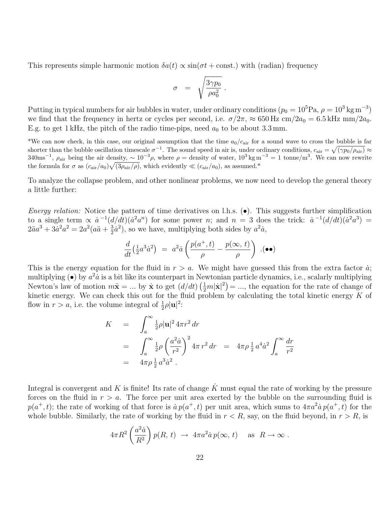This represents simple harmonic motion  $\delta a(t) \propto \sin(\sigma t + \text{const.})$  with (radian) frequency

$$
\sigma = \sqrt{\frac{3\gamma p_0}{\rho a_0^2}}.
$$

Putting in typical numbers for air bubbles in water, under ordinary conditions  $(p_0 = 10^5 \text{Pa}, \rho = 10^3 \text{ kg m}^{-3})$ we find that the frequency in hertz or cycles per second, i.e.  $\sigma/2\pi \approx 650$  Hz cm/ $2a_0 = 6.5$  kHz mm/ $2a_0$ . E.g. to get 1 kHz, the pitch of the radio time-pips, need  $a_0$  to be about 3.3 mm.

\*We can now check, in this case, our original assumption that the time  $a_0/c_{\text{air}}$  for a sound wave to cross the bubble is far shorter than the bubble oscillation timescale  $\sigma^{-1}$ . The sound speed in air is, under ordinary conditions,  $c_{\text{air}} = \sqrt{(\gamma p_0/\rho_{\text{air}})} \approx$  $340 \text{ms}^{-1}$ ,  $\rho_{\text{air}}$  being the air density,  $\sim 10^{-3} \rho$ , where  $\rho =$  density of water,  $10^{3} \text{ kg m}^{-3} = 1$  tonne/m<sup>3</sup>. We can now rewrite the formula for  $\sigma$  as  $(c_{\rm air}/a_0)\sqrt{(3\rho_{\rm air}/\rho)}$ , which evidently  $\ll (c_{\rm air}/a_0)$ , as assumed.\*

To analyze the collapse problem, and other nonlinear problems, we now need to develop the general theory a little further:

Energy relation: Notice the pattern of time derivatives on l.h.s.  $(\bullet)$ . This suggests further simplification to a single term  $\propto \dot{a}^{-1}(d/dt)(\dot{a}^2 a^n)$  for some power n; and  $n = 3$  does the trick:  $\dot{a}^{-1}(d/dt)(\dot{a}^2 a^3)$  $2\ddot{a}a^3 + 3\dot{a}^2a^2 = 2a^2(a\ddot{a} + \frac{3}{2})$  $\frac{3}{2}\dot{a}^2$ , so we have, multiplying both sides by  $a^2\dot{a}$ ,

$$
\frac{d}{dt}\left(\tfrac{1}{2}a^3\dot{a}^2\right) ~=~ a^2\dot{a}\left(\frac{p(a^+,t)}{\rho}-\frac{p(\infty,\,t)}{\rho}\right)~.(\bullet\bullet)
$$

This is the energy equation for the fluid in  $r > a$ . We might have guessed this from the extra factor  $\dot{a}$ ; multiplying  $\left(\bullet\right)$  by  $a^2\dot{a}$  is a bit like its counterpart in Newtonian particle dynamics, i.e., scalarly multiplying Newton's law of motion  $m\ddot{\mathbf{x}} = ...$  by  $\dot{\mathbf{x}}$  to get  $(d/dt)(\frac{1}{2}m|\dot{\mathbf{x}}|^2) = ...$ , the equation for the rate of change of kinetic energy. We can check this out for the fluid problem by calculating the total kinetic energy  $K$  of flow in  $r > a$ , i.e. the volume integral of  $\frac{1}{2}\rho |\mathbf{u}|^2$ :

$$
K = \int_{a}^{\infty} \frac{1}{2} \rho |\mathbf{u}|^{2} 4 \pi r^{2} dr
$$
  
= 
$$
\int_{a}^{\infty} \frac{1}{2} \rho \left(\frac{a^{2} \dot{a}}{r^{2}}\right)^{2} 4 \pi r^{2} dr = 4 \pi \rho \frac{1}{2} a^{4} \dot{a}^{2} \int_{a}^{\infty} \frac{dr}{r^{2}}
$$
  
= 
$$
4 \pi \rho \frac{1}{2} a^{3} \dot{a}^{2}.
$$

Integral is convergent and K is finite! Its rate of change  $\tilde{K}$  must equal the rate of working by the pressure forces on the fluid in  $r > a$ . The force per unit area exerted by the bubble on the surrounding fluid is  $p(a^+,t)$ ; the rate of working of that force is  $a p(a^+,t)$  per unit area, which sums to  $4\pi a^2 a p(a^+,t)$  for the whole bubble. Similarly, the rate of working by the fluid in  $r < R$ , say, on the fluid beyond, in  $r > R$ , is

$$
4\pi R^2 \left(\frac{a^2 \dot{a}}{R^2}\right) p(R, t) \rightarrow 4\pi a^2 \dot{a} p(\infty, t) \text{ as } R \to \infty.
$$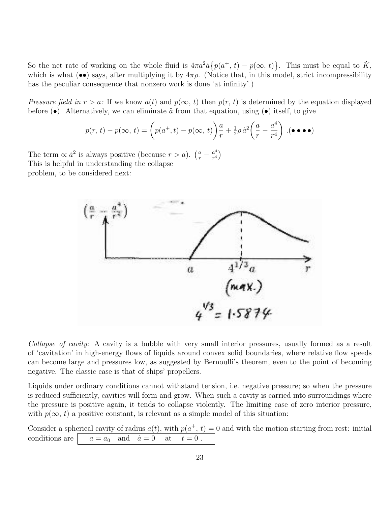So the net rate of working on the whole fluid is  $4\pi a^2 \dot{a} \{p(a^+, t) - p(\infty, t)\}\.$  This must be equal to  $\dot{K}$ , which is what (••) says, after multiplying it by  $4\pi\rho$ . (Notice that, in this model, strict incompressibility has the peculiar consequence that nonzero work is done 'at infinity'.)

Pressure field in  $r > a$ : If we know  $a(t)$  and  $p(\infty, t)$  then  $p(r, t)$  is determined by the equation displayed before  $(\bullet)$ . Alternatively, we can eliminate  $\ddot{a}$  from that equation, using  $(\bullet)$  itself, to give

$$
p(r, t) - p(\infty, t) = \left( p(a^+, t) - p(\infty, t) \right) \frac{a}{r} + \frac{1}{2} \rho \dot{a}^2 \left( \frac{a}{r} - \frac{a^4}{r^4} \right) .
$$
 ( $\bullet \bullet \bullet \bullet$ )

The term  $\propto \dot{a}^2$  is always positive (because  $r > a$ ).  $\left(\frac{a}{r} - \frac{a^4}{r^4}\right)$  $rac{a^4}{r^4}\Big)$ This is helpful in understanding the collapse problem, to be considered next:



Collapse of cavity: A cavity is a bubble with very small interior pressures, usually formed as a result of 'cavitation' in high-energy flows of liquids around convex solid boundaries, where relative flow speeds can become large and pressures low, as suggested by Bernoulli's theorem, even to the point of becoming negative. The classic case is that of ships' propellers.

Liquids under ordinary conditions cannot withstand tension, i.e. negative pressure; so when the pressure is reduced sufficiently, cavities will form and grow. When such a cavity is carried into surroundings where the pressure is positive again, it tends to collapse violently. The limiting case of zero interior pressure, with  $p(\infty, t)$  a positive constant, is relevant as a simple model of this situation:

Consider a spherical cavity of radius  $a(t)$ , with  $p(a^+, t) = 0$  and with the motion starting from rest: initial conditions are  $a = a_0$  and  $\dot{a} = 0$  at  $t = 0$ .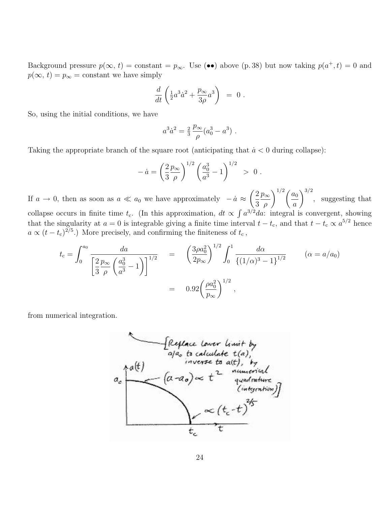Background pressure  $p(\infty, t) =$  constant  $=p_{\infty}$ . Use (••) above (p. 38) but now taking  $p(a^+, t) = 0$  and  $p(\infty, t) = p_{\infty}$  = constant we have simply

$$
\frac{d}{dt}\left(\frac{1}{2}a^3\dot{a}^2 + \frac{p_{\infty}}{3\rho}a^3\right) = 0.
$$

So, using the initial conditions, we have

$$
a^3 \dot{a}^2 = \frac{2}{3} \frac{p_{\infty}}{\rho} (a_0^3 - a^3) \ .
$$

Taking the appropriate branch of the square root (anticipating that  $\dot{a} < 0$  during collapse):

$$
-\dot{a} = \left(\frac{2}{3}\frac{p_{\infty}}{\rho}\right)^{1/2} \left(\frac{a_0^3}{a^3} - 1\right)^{1/2} > 0.
$$

If  $a \to 0$ , then as soon as  $a \ll a_0$  we have approximately  $-\dot{a} \approx \left(\frac{2}{2}\right)$ 3  $p_{\infty}$ ρ  $\sum^{1/2}$  (  $a_0$ a  $\int^{3/2}$ , suggesting that collapse occurs in finite time  $t_c$ . (In this approximation,  $dt \propto \int a^{3/2} da$ : integral is convergent, showing that the singularity at  $a = 0$  is integrable giving a finite time interval  $t - t_c$ , and that  $t - t_c \propto a^{5/2}$  hence  $a \propto (t - t_c)^{2/5}$ .) More precisely, and confirming the finiteness of  $t_c$ ,

$$
t_{\rm c} = \int_0^{a_0} \frac{da}{\left[\frac{2}{3} \frac{p_{\infty}}{\rho} \left(\frac{a_0^3}{a^3} - 1\right)\right]^{1/2}} = \left(\frac{3\rho a_0^2}{2p_{\infty}}\right)^{1/2} \int_0^1 \frac{d\alpha}{\left\{(1/\alpha)^3 - 1\right\}^{1/2}} \qquad (\alpha = a/a_0)
$$

$$
= 0.92 \left(\frac{\rho a_0^2}{p_{\infty}}\right)^{1/2},
$$

from numerical integration.

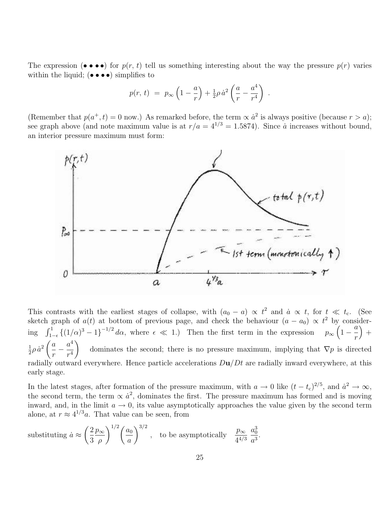The expression  $(\bullet \bullet \bullet \bullet)$  for  $p(r, t)$  tell us something interesting about the way the pressure  $p(r)$  varies within the liquid;  $(\bullet \bullet \bullet \bullet)$  simplifies to

$$
p(r, t) = p_{\infty} \left( 1 - \frac{a}{r} \right) + \frac{1}{2} \rho \dot{a}^{2} \left( \frac{a}{r} - \frac{a^{4}}{r^{4}} \right) .
$$

(Remember that  $p(a^+, t) = 0$  now.) As remarked before, the term  $\propto \dot{a}^2$  is always positive (because  $r > a$ ); see graph above (and note maximum value is at  $r/a = 4^{1/3} = 1.5874$ ). Since  $\alpha$  increases without bound, an interior pressure maximum must form:



This contrasts with the earliest stages of collapse, with  $(a_0 - a) \propto t^2$  and  $\dot{a} \propto t$ , for  $t \ll t_c$ . (See sketch graph of  $a(t)$  at bottom of previous page, and check the behaviour  $(a - a_0) \propto t^2$  by considering  $\int_{1-\epsilon}^{1} \{(1/\alpha)^3 - 1\}^{-1/2} d\alpha$ , where  $\epsilon \ll 1$ .) Then the first term in the expression  $p_{\infty}$  $\left(1-\frac{a}{a}\right)$ r  $+$ 1  $\frac{1}{2}\rho\,\dot{a}^2\,\biggl(\frac{a}{r}\biggr)$ r  $-\frac{a^4}{a^4}$  $r^4$  $\setminus$ dominates the second; there is no pressure maximum, implying that  $\nabla p$  is directed radially outward everywhere. Hence particle accelerations  $Du/Dt$  are radially inward everywhere, at this early stage.

In the latest stages, after formation of the pressure maximum, with  $a \to 0$  like  $(t - t_c)^{2/5}$ , and  $\dot{a}^2 \to \infty$ , the second term, the term  $\propto \dot{a}^2$ , dominates the first. The pressure maximum has formed and is moving inward, and, in the limit  $a \to 0$ , its value asymptotically approaches the value given by the second term alone, at  $r \approx 4^{1/3}a$ . That value can be seen, from

substituting 
$$
\dot{a} \approx \left(\frac{2}{3}\frac{p_{\infty}}{\rho}\right)^{1/2} \left(\frac{a_0}{a}\right)^{3/2}
$$
, to be asymptotically  $\frac{p_{\infty}}{4^{4/3}} \frac{a_0^3}{a^3}$ 

.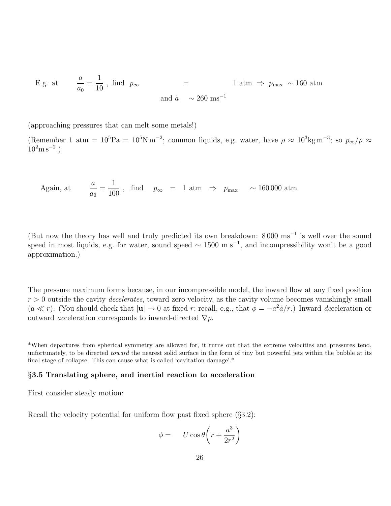E.g. at 
$$
\frac{a}{a_0} = \frac{1}{10}
$$
, find  $p_{\infty}$  = 1 atm  $\Rightarrow p_{\text{max}} \sim 160 \text{ atm}$   
and  $\dot{a} \sim 260 \text{ ms}^{-1}$ 

(approaching pressures that can melt some metals!)

(Remember 1 atm =  $10^5 \text{Pa} = 10^5 \text{N m}^{-2}$ ; common liquids, e.g. water, have  $\rho \approx 10^3 \text{kg m}^{-3}$ ; so  $p_{\infty}/\rho \approx$  $10^2$ m s<sup>-2</sup>.)

Again, at 
$$
\frac{a}{a_0} = \frac{1}{100}
$$
, find  $p_{\infty} = 1 \text{ atm} \Rightarrow p_{\text{max}} \sim 160\,000 \text{ atm}$ 

(But now the theory has well and truly predicted its own breakdown: 8 000 ms<sup>−</sup><sup>1</sup> is well over the sound speed in most liquids, e.g. for water, sound speed  $\sim 1500 \text{ m s}^{-1}$ , and incompressibility won't be a good approximation.)

The pressure maximum forms because, in our incompressible model, the inward flow at any fixed position  $r > 0$  outside the cavity *decelerates*, toward zero velocity, as the cavity volume becomes vanishingly small  $(a \ll r)$ . (You should check that  $|u| \to 0$  at fixed r; recall, e.g., that  $\phi = -a^2 \dot{a}/r$ .) Inward deceleration or outward *acceleration* corresponds to inward-directed  $\nabla p$ .

\*When departures from spherical symmetry are allowed for, it turns out that the extreme velocities and pressures tend, unfortunately, to be directed toward the nearest solid surface in the form of tiny but powerful jets within the bubble at its final stage of collapse. This can cause what is called 'cavitation damage'.\*

#### §3.5 Translating sphere, and inertial reaction to acceleration

First consider steady motion:

Recall the velocity potential for uniform flow past fixed sphere (§3.2):

$$
\phi = U \cos \theta \left( r + \frac{a^3}{2r^2} \right)
$$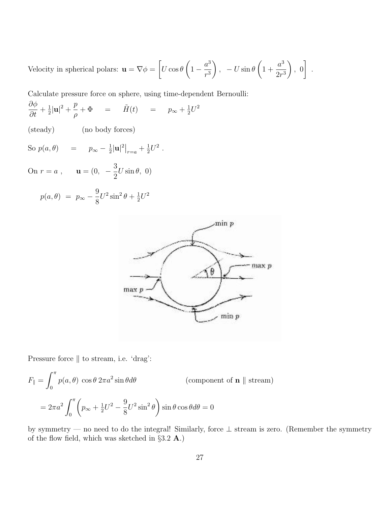Velocity in spherical polars:  $\mathbf{u} = \nabla \phi = \left[ U \cos \theta \left( 1 - \frac{a^3}{a^3} \right) \right]$  $r^3$ ),  $-U \sin \theta \left( 1 + \right)$  $a^3$  $2r<sup>3</sup>$  $\Big\}$ ,  $\begin{bmatrix} 0 \end{bmatrix}$ .

Calculate pressure force on sphere, using time-dependent Bernoulli:

 $\partial \phi$  $\frac{\partial \varphi}{\partial t} + \frac{1}{2}$  $\frac{1}{2}|\mathbf{u}|^2 + \frac{p}{a}$ ρ  $+\Phi = \tilde{H}(t) = p_{\infty} + \frac{1}{2}$  $\frac{1}{2}U^2$ 

(steady) (no body forces)

So  $p(a, \theta)$  =  $p_{\infty} - \frac{1}{2}$  $\frac{1}{2}|\mathbf{u}|^2|_{r=a} + \frac{1}{2}$  $\frac{1}{2}U^2$ .

On  $r = a$ ,  $\mathbf{u} = (0, -\frac{3}{2})$ 2  $U \sin \theta$ , 0)

$$
p(a, \theta) = p_{\infty} - \frac{9}{8}U^2 \sin^2 \theta + \frac{1}{2}U^2
$$



Pressure force  $\parallel$  to stream, i.e. 'drag':

$$
F_{\parallel} = \int_0^{\pi} p(a,\theta) \cos \theta \, 2\pi a^2 \sin \theta d\theta \qquad \text{(component of } \mathbf{n} \parallel \text{ stream)}
$$

$$
= 2\pi a^2 \int_0^{\pi} \left( p_{\infty} + \frac{1}{2} U^2 - \frac{9}{8} U^2 \sin^2 \theta \right) \sin \theta \cos \theta d\theta = 0
$$

by symmetry — no need to do the integral! Similarly, force ⊥ stream is zero. (Remember the symmetry of the flow field, which was sketched in  $\S 3.2$  **A**.)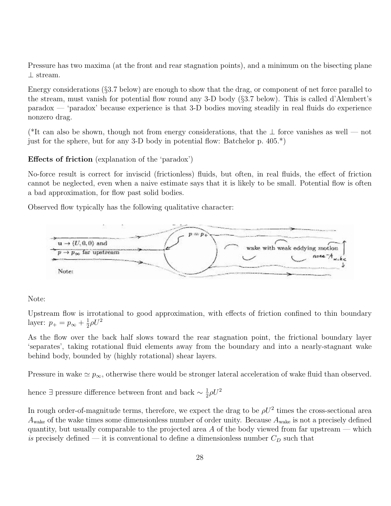Pressure has two maxima (at the front and rear stagnation points), and a minimum on the bisecting plane ⊥ stream.

Energy considerations (§3.7 below) are enough to show that the drag, or component of net force parallel to the stream, must vanish for potential flow round any 3-D body (§3.7 below). This is called d'Alembert's paradox — 'paradox' because experience is that 3-D bodies moving steadily in real fluids do experience nonzero drag.

(\*It can also be shown, though not from energy considerations, that the ⊥ force vanishes as well — not just for the sphere, but for any 3-D body in potential flow: Batchelor p.  $405.*$ )

# Effects of friction (explanation of the 'paradox')

No-force result is correct for inviscid (frictionless) fluids, but often, in real fluids, the effect of friction cannot be neglected, even when a naive estimate says that it is likely to be small. Potential flow is often a bad approximation, for flow past solid bodies.

Observed flow typically has the following qualitative character:



# Note:

Upstream flow is irrotational to good approximation, with effects of friction confined to thin boundary layer:  $p_{+} = p_{\infty} + \frac{1}{2}$  $\frac{1}{2}\rho U^2$ 

As the flow over the back half slows toward the rear stagnation point, the frictional boundary layer 'separates', taking rotational fluid elements away from the boundary and into a nearly-stagnant wake behind body, bounded by (highly rotational) shear layers.

Pressure in wake  $\simeq p_{\infty}$ , otherwise there would be stronger lateral acceleration of wake fluid than observed.

hence ∃ pressure difference between front and back  $\sim \frac{1}{2}$  $\frac{1}{2}\rho U^2$ 

In rough order-of-magnitude terms, therefore, we expect the drag to be  $\rho U^2$  times the cross-sectional area  $A_{\text{wake}}$  of the wake times some dimensionless number of order unity. Because  $A_{\text{wake}}$  is not a precisely defined quantity, but usually comparable to the projected area  $A$  of the body viewed from far upstream — which is precisely defined — it is conventional to define a dimensionless number  $C_D$  such that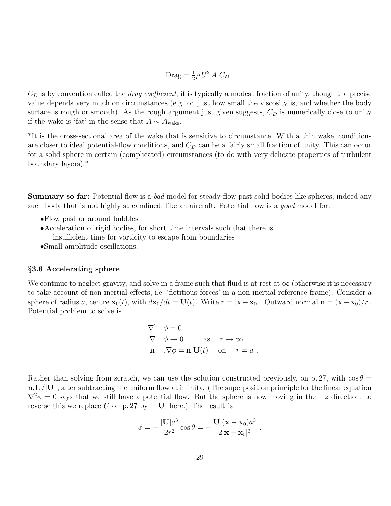$$
\text{ Drag} = \frac{1}{2}\rho U^2 A C_D .
$$

 $C_D$  is by convention called the *drag coefficient*; it is typically a modest fraction of unity, though the precise value depends very much on circumstances (e.g. on just how small the viscosity is, and whether the body surface is rough or smooth). As the rough argument just given suggests,  $C_D$  is numerically close to unity if the wake is 'fat' in the sense that  $A \sim A_{\text{wake}}$ .

\*It is the cross-sectional area of the wake that is sensitive to circumstance. With a thin wake, conditions are closer to ideal potential-flow conditions, and  $C_D$  can be a fairly small fraction of unity. This can occur for a solid sphere in certain (complicated) circumstances (to do with very delicate properties of turbulent boundary layers).\*

**Summary so far:** Potential flow is a bad model for steady flow past solid bodies like spheres, indeed any such body that is not highly streamlined, like an aircraft. Potential flow is a good model for:

- •Flow past or around bubbles
- •Acceleration of rigid bodies, for short time intervals such that there is insufficient time for vorticity to escape from boundaries
- •Small amplitude oscillations.

## §3.6 Accelerating sphere

We continue to neglect gravity, and solve in a frame such that fluid is at rest at  $\infty$  (otherwise it is necessary to take account of non-inertial effects, i.e. 'fictitious forces' in a non-inertial reference frame). Consider a sphere of radius a, centre  $\mathbf{x}_0(t)$ , with  $d\mathbf{x}_0/dt = \mathbf{U}(t)$ . Write  $r = |\mathbf{x} - \mathbf{x}_0|$ . Outward normal  $\mathbf{n} = (\mathbf{x} - \mathbf{x}_0)/r$ . Potential problem to solve is

$$
\nabla^2 \phi = 0
$$
  
\n
$$
\nabla \phi \to 0 \quad \text{as} \quad r \to \infty
$$
  
\n**n**  $\nabla \phi = \mathbf{n}.\mathbf{U}(t)$  on  $r = a$ .

Rather than solving from scratch, we can use the solution constructed previously, on p. 27, with  $\cos \theta =$  $n.U/U$ , after subtracting the uniform flow at infinity. (The superposition principle for the linear equation  $\nabla^2 \phi = 0$  says that we still have a potential flow. But the sphere is now moving in the  $-z$  direction; to reverse this we replace U on p. 27 by  $-|U|$  here.) The result is

$$
\phi = -\frac{|\mathbf{U}|a^3}{2r^2}\cos\theta = -\frac{\mathbf{U}.\mathbf{(x-x_0)}a^3}{2|\mathbf{x-x_0}|^3}.
$$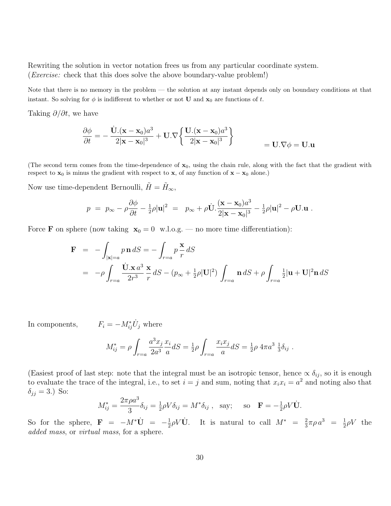Rewriting the solution in vector notation frees us from any particular coordinate system. (Exercise: check that this does solve the above boundary-value problem!)

Note that there is no memory in the problem — the solution at any instant depends only on boundary conditions at that instant. So solving for  $\phi$  is indifferent to whether or not **U** and  $\mathbf{x}_0$  are functions of t.

Taking  $\partial/\partial t$ , we have

$$
\frac{\partial \phi}{\partial t} = -\frac{\dot{\mathbf{U}}.(\mathbf{x} - \mathbf{x}_0)a^3}{2|\mathbf{x} - \mathbf{x}_0|^3} + \mathbf{U}.\nabla \left\{ \frac{\mathbf{U}.(\mathbf{x} - \mathbf{x}_0)a^3}{2|\mathbf{x} - \mathbf{x}_0|^3} \right\} = \mathbf{U}.\nabla \phi = \mathbf{U}.\mathbf{u}
$$

(The second term comes from the time-dependence of  $x_0$ , using the chain rule, along with the fact that the gradient with respect to  $\mathbf{x}_0$  is minus the gradient with respect to  $\mathbf{x}$ , of any function of  $\mathbf{x} - \mathbf{x}_0$  alone.)

Now use time-dependent Bernoulli,  $\tilde{H} = \tilde{H}_{\infty}$ ,

$$
p = p_{\infty} - \rho \frac{\partial \phi}{\partial t} - \frac{1}{2}\rho |\mathbf{u}|^2 = p_{\infty} + \rho \dot{\mathbf{U}} \cdot \frac{(\mathbf{x} - \mathbf{x}_0) a^3}{2|\mathbf{x} - \mathbf{x}_0|^3} - \frac{1}{2}\rho |\mathbf{u}|^2 - \rho \mathbf{U} \cdot \mathbf{u}.
$$

Force **F** on sphere (now taking  $x_0 = 0$  w.l.o.g. — no more time differentiation):

$$
\mathbf{F} = -\int_{|\mathbf{x}|=a} p \mathbf{n} dS = -\int_{r=a} p \frac{\mathbf{x}}{r} dS
$$
  
=  $-\rho \int_{r=a} \frac{\dot{\mathbf{U}} \cdot \mathbf{x} d^3}{2r^3} \frac{\mathbf{x}}{r} dS - (p_{\infty} + \frac{1}{2}\rho |\mathbf{U}|^2) \int_{r=a} \mathbf{n} dS + \rho \int_{r=a} \frac{1}{2} |\mathbf{u} + \mathbf{U}|^2 \mathbf{n} dS$ 

In components,  $F_i = -M_{ij}^* \dot{U}_j$  where

$$
M_{ij}^* = \rho \int_{r=a} \frac{a^3 x_j}{2a^3} \frac{x_i}{a} dS = \frac{1}{2} \rho \int_{r=a} \frac{x_i x_j}{a} dS = \frac{1}{2} \rho 4 \pi a^3 \frac{1}{3} \delta_{ij}.
$$

(Easiest proof of last step: note that the integral must be an isotropic tensor, hence  $\propto \delta_{ij}$ , so it is enough to evaluate the trace of the integral, i.e., to set  $i = j$  and sum, noting that  $x_i x_i = a^2$  and noting also that  $\delta_{jj} = 3.$ ) So:

$$
M_{ij}^* = \frac{2\pi\rho a^3}{3} \delta_{ij} = \frac{1}{2}\rho V \delta_{ij} = M^* \delta_{ij} , \text{ say; so } \mathbf{F} = -\frac{1}{2}\rho V \dot{\mathbf{U}}.
$$

So for the sphere,  $\mathbf{F} = -M^*\dot{\mathbf{U}} = -\frac{1}{2}$  $\frac{1}{2}\rho V\dot{\mathbf{U}}$ . It is natural to call  $M^* = \frac{2}{3}$  $\frac{2}{3}\pi\rho a^3 = \frac{1}{2}$  $\frac{1}{2}\rho V$  the added mass, or *virtual mass*, for a sphere.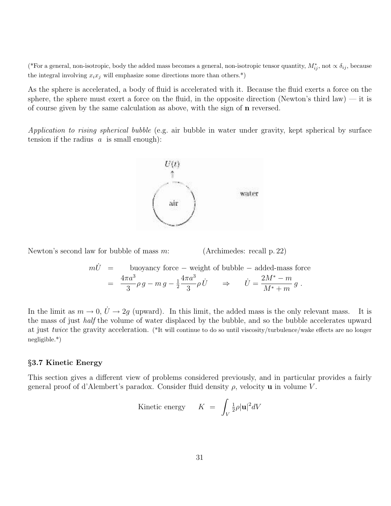(\*For a general, non-isotropic, body the added mass becomes a general, non-isotropic tensor quantity,  $M_{ij}^*$ , not  $\propto \delta_{ij}$ , because the integral involving  $x_ix_j$  will emphasize some directions more than others.<sup>\*</sup>)

As the sphere is accelerated, a body of fluid is accelerated with it. Because the fluid exerts a force on the sphere, the sphere must exert a force on the fluid, in the opposite direction (Newton's third law) — it is of course given by the same calculation as above, with the sign of n reversed.

Application to rising spherical bubble (e.g. air bubble in water under gravity, kept spherical by surface tension if the radius  $a$  is small enough):



Newton's second law for bubble of mass  $m$ : (Archimedes: recall p. 22)

$$
m\dot{U} = \text{buoyancy force} - \text{weight of bubble} - \text{added-mass force}
$$
  
= 
$$
\frac{4\pi a^3}{3} \rho g - mg - \frac{1}{2} \frac{4\pi a^3}{3} \rho \dot{U} \implies \dot{U} = \frac{2M^* - m}{M^* + m} g.
$$

In the limit as  $m \to 0$ ,  $\dot{U} \to 2g$  (upward). In this limit, the added mass is the only relevant mass. It is the mass of just half the volume of water displaced by the bubble, and so the bubble accelerates upward at just twice the gravity acceleration. (\*It will continue to do so until viscosity/turbulence/wake effects are no longer negligible.\*)

#### §3.7 Kinetic Energy

This section gives a different view of problems considered previously, and in particular provides a fairly general proof of d'Alembert's paradox. Consider fluid density  $\rho$ , velocity **u** in volume V.

Kinetic energy 
$$
K = \int_{V} \frac{1}{2} \rho |\mathbf{u}|^2 dV
$$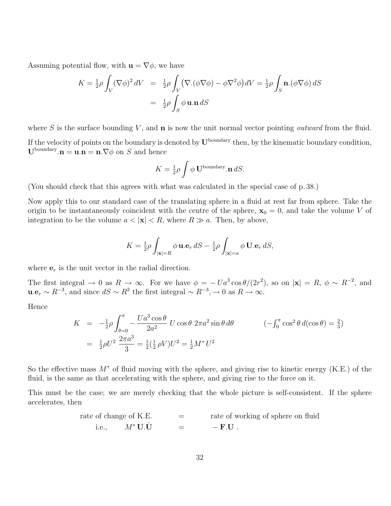Assuming potential flow, with  $\mathbf{u} = \nabla \phi$ , we have

$$
K = \frac{1}{2}\rho \int_{V} (\nabla \phi)^2 dV = \frac{1}{2}\rho \int_{V} (\nabla \phi \cdot (\phi \nabla \phi) - \phi \nabla^2 \phi) dV = \frac{1}{2}\rho \int_{S} \mathbf{n} \cdot (\phi \nabla \phi) dS
$$

$$
= \frac{1}{2}\rho \int_{S} \phi \mathbf{u} \cdot \mathbf{n} dS
$$

where S is the surface bounding  $V$ , and  $\bf{n}$  is now the unit normal vector pointing *outward* from the fluid. If the velocity of points on the boundary is denoted by  $U^{\text{boundary}}$  then, by the kinematic boundary condition,  $\mathbf{U}^{\text{boundary}}$ . $\mathbf{n} = \mathbf{u}.\mathbf{n} = \mathbf{n}.\nabla\phi$  on S and hence

$$
K = \frac{1}{2}\rho \int \phi \mathbf{U}^{\text{boundary}}.\mathbf{n} \, dS.
$$

(You should check that this agrees with what was calculated in the special case of p. 38.)

Now apply this to our standard case of the translating sphere in a fluid at rest far from sphere. Take the origin to be instantaneously coincident with the centre of the sphere,  $x_0 = 0$ , and take the volume V of integration to be the volume  $a < |\mathbf{x}| < R$ , where  $R \gg a$ . Then, by above,

$$
K = \frac{1}{2}\rho \int_{|\mathbf{x}|=R} \phi \, \mathbf{u} \cdot \mathbf{e}_r \, dS - \frac{1}{2}\rho \int_{|\mathbf{x}|=a} \phi \, \mathbf{U} \cdot \mathbf{e}_r \, dS,
$$

where  $e_r$  is the unit vector in the radial direction.

The first integral  $\to 0$  as  $R \to \infty$ . For we have  $\phi = -Ua^3 \cos \theta/(2r^2)$ , so on  $|\mathbf{x}| = R$ ,  $\phi \sim R^{-2}$ , and  $\mathbf{u}.\mathbf{e}_r \sim R^{-3}$ , and since  $dS \sim R^2$  the first integral  $\sim R^{-3}, \to 0$  as  $R \to \infty$ .

Hence

$$
K = -\frac{1}{2}\rho \int_{\theta=0}^{\pi} -\frac{Ua^3 \cos \theta}{2a^2} U \cos \theta \ 2\pi a^2 \sin \theta \, d\theta \qquad \qquad (-\int_0^{\pi} \cos^2 \theta \, d(\cos \theta) = \frac{2}{3})
$$

$$
= \frac{1}{2}\rho U^2 \frac{2\pi a^3}{3} = \frac{1}{2}(\frac{1}{2}\rho V)U^2 = \frac{1}{2}M^*U^2
$$

So the effective mass  $M^*$  of fluid moving with the sphere, and giving rise to kinetic energy (K.E.) of the fluid, is the same as that accelerating with the sphere, and giving rise to the force on it.

This must be the case; we are merely checking that the whole picture is self-consistent. If the sphere accelerates, then

rate of change of K.E. 
$$
=
$$
 rate of working of sphere on fluid i.e.,  $M^* U. \dot{U} = -F.U$ .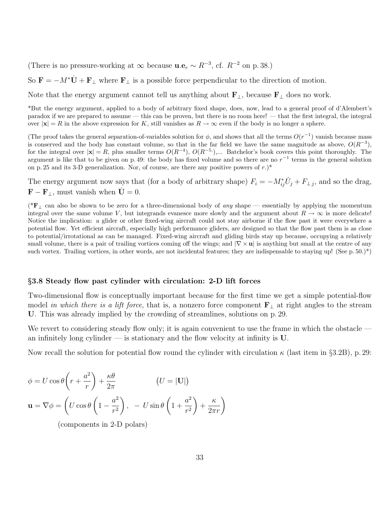(There is no pressure-working at  $\infty$  because  $\mathbf{u}.\mathbf{e}_r \sim R^{-3}$ , cf.  $R^{-2}$  on p. 38.)

So  $\mathbf{F} = -M^*\dot{\mathbf{U}} + \mathbf{F}_{\perp}$  where  $\mathbf{F}_{\perp}$  is a possible force perpendicular to the direction of motion.

Note that the energy argument cannot tell us anything about  $\mathbf{F}_{\perp}$ , because  $\mathbf{F}_{\perp}$  does no work.

\*But the energy argument, applied to a body of arbitrary fixed shape, does, now, lead to a general proof of d'Alembert's paradox if we are prepared to assume — this can be proven, but there is no room here! — that the first integral, the integral over  $|x| = R$  in the above expression for K, still vanishes as  $R \to \infty$  even if the body is no longer a sphere.

(The proof takes the general separation-of-variables solution for  $\phi$ , and shows that all the terms  $O(r^{-1})$  vanish because mass is conserved and the body has constant volume, so that in the far field we have the same magnitude as above,  $O(R^{-3})$ , for the integral over  $|\mathbf{x}| = R$ , plus smaller terms  $O(R^{-4})$ ,  $O(R^{-5})$ ,... Batchelor's book covers this point thoroughly. The argument is like that to be given on p. 49: the body has fixed volume and so there are no  $r^{-1}$  terms in the general solution on p. 25 and its 3-D generalization. Nor, of course, are there any positive powers of  $r$ .)\*

The energy argument now says that (for a body of arbitrary shape)  $F_i = -M_{ij}^* \dot{U}_j + F_{\perp j}$ , and so the drag,  $\mathbf{F} - \mathbf{F}_{\perp}$ , must vanish when  $\dot{\mathbf{U}} = 0$ .

(\*F<sub>⊥</sub> can also be shown to be zero for a three-dimensional body of any shape — essentially by applying the momentum integral over the same volume V, but integrands evanesce more slowly and the argument about  $R \to \infty$  is more delicate! Notice the implication: a glider or other fixed-wing aircraft could not stay airborne if the flow past it were everywhere a potential flow. Yet efficient aircraft, especially high performance gliders, are designed so that the flow past them is as close to potential/irrotational as can be managed. Fixed-wing aircraft and gliding birds stay up because, occupying a relatively small volume, there is a pair of trailing vortices coming off the wings; and  $\nabla \times \mathbf{u}$  is anything but small at the centre of any such vortex. Trailing vortices, in other words, are not incidental features; they are indispensable to staying up! (See p. 50.)\*)

#### §3.8 Steady flow past cylinder with circulation: 2-D lift forces

Two-dimensional flow is conceptually important because for the first time we get a simple potential-flow model in which there is a lift force, that is, a nonzero force component  $\mathbf{F}_{\perp}$  at right angles to the stream U. This was already implied by the crowding of streamlines, solutions on p. 29.

We revert to considering steady flow only; it is again convenient to use the frame in which the obstacle an infinitely long cylinder — is stationary and the flow velocity at infinity is  $U$ .

Now recall the solution for potential flow round the cylinder with circulation  $\kappa$  (last item in §3.2B), p. 29:

$$
\phi = U \cos \theta \left( r + \frac{a^2}{r} \right) + \frac{\kappa \theta}{2\pi} \qquad (U = |\mathbf{U}|)
$$

$$
\mathbf{u} = \nabla \phi = \left( U \cos \theta \left( 1 - \frac{a^2}{r^2} \right), -U \sin \theta \left( 1 + \frac{a^2}{r^2} \right) + \frac{\kappa}{2\pi r} \right)
$$

(components in 2-D polars)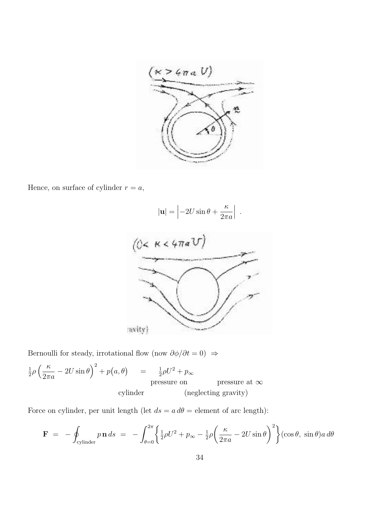

Hence, on surface of cylinder  $r = a, \,$ 

$$
|\mathbf{u}| = \left| -2U\sin\theta + \frac{\kappa}{2\pi a} \right| .
$$



Bernoulli for steady, irrotational flow (now  $\partial \phi / \partial t = 0$ )  $\Rightarrow$ 

$$
\frac{1}{2}\rho \left(\frac{\kappa}{2\pi a} - 2U\sin\theta\right)^2 + p(a,\theta) = \frac{1}{2}\rho U^2 + p_\infty
$$
pressure on pressure at  $\infty$  (neglecting gravity)

Force on cylinder, per unit length (let  $ds = a d\theta$  = element of arc length):

$$
\mathbf{F} = -\oint_{\text{cylinder}} p \mathbf{n} \, ds = -\int_{\theta=0}^{2\pi} \left\{ \frac{1}{2} \rho U^2 + p_{\infty} - \frac{1}{2} \rho \left( \frac{\kappa}{2\pi a} - 2U \sin \theta \right)^2 \right\} (\cos \theta, \sin \theta) a \, d\theta
$$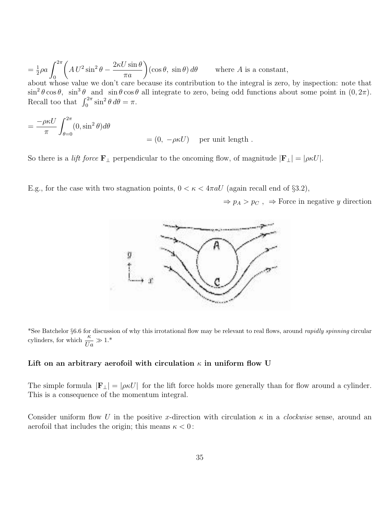$=\frac{1}{2}$  $rac{1}{2}\rho a \int_{0}^{2\pi}$ 0  $\left(A U^2 \sin^2 \theta - \frac{2\kappa U \sin \theta}{\pi a}\right) (\cos \theta, \sin \theta) d\theta$  where A is a constant, about whose value we don't care because its contribution to the integral is zero, by inspection: note that  $\sin^2 \theta \cos \theta$ ,  $\sin^3 \theta$  and  $\sin \theta \cos \theta$  all integrate to zero, being odd functions about some point in  $(0, 2\pi)$ . Recall too that  $\int_0^{2\pi} \sin^2 \theta \, d\theta = \pi$ .

$$
= \frac{-\rho \kappa U}{\pi} \int_{\theta=0}^{2\pi} (0, \sin^2 \theta) d\theta
$$
  
= (0, -\rho \kappa U) per unit length

So there is a *lift force*  $\mathbf{F}_{\perp}$  perpendicular to the oncoming flow, of magnitude  $|\mathbf{F}_{\perp}| = |\rho \kappa U|$ .

E.g., for the case with two stagnation points,  $0 < \kappa < 4\pi aU$  (again recall end of §3.2),

 $\Rightarrow$   $p_A > p_C$ ,  $\Rightarrow$  Force in negative y direction



\*See Batchelor §6.6 for discussion of why this irrotational flow may be relevant to real flows, around rapidly spinning circular cylinders, for which  $\frac{\kappa}{Ua} \gg 1.*$ 

# Lift on an arbitrary aerofoil with circulation  $\kappa$  in uniform flow U

The simple formula  $|\mathbf{F}_{\perp}| = |\rho \kappa U|$  for the lift force holds more generally than for flow around a cylinder. This is a consequence of the momentum integral.

Consider uniform flow U in the positive x-direction with circulation  $\kappa$  in a *clockwise* sense, around an aerofoil that includes the origin; this means  $\kappa < 0$ :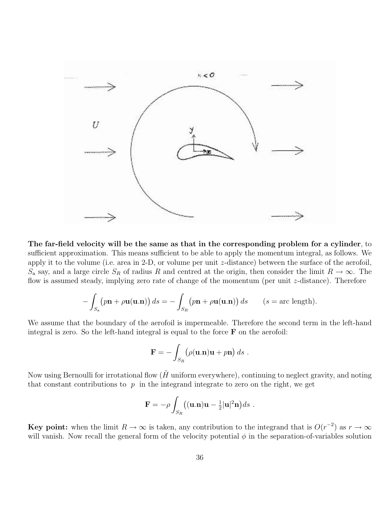

The far-field velocity will be the same as that in the corresponding problem for a cylinder, to sufficient approximation. This means sufficient to be able to apply the momentum integral, as follows. We apply it to the volume (i.e. area in 2-D, or volume per unit z-distance) between the surface of the aerofoil,  $S_a$  say, and a large circle  $S_R$  of radius R and centred at the origin, then consider the limit  $R \to \infty$ . The flow is assumed steady, implying zero rate of change of the momentum (per unit z-distance). Therefore

$$
-\int_{S_{\mathbf{a}}}\left(p\mathbf{n}+\rho\mathbf{u}(\mathbf{u}.\mathbf{n})\right)ds=-\int_{S_{R}}\left(p\mathbf{n}+\rho\mathbf{u}(\mathbf{u}.\mathbf{n})\right)ds\qquad(s=\text{arc length}).
$$

We assume that the boundary of the aerofoil is impermeable. Therefore the second term in the left-hand integral is zero. So the left-hand integral is equal to the force  $\bf{F}$  on the aerofoil:

$$
\mathbf{F} = -\int_{S_R} \left( \rho(\mathbf{u}.\mathbf{n}) \mathbf{u} + p\mathbf{n} \right) ds \ .
$$

Now using Bernoulli for irrotational flow  $(H$  uniform everywhere), continuing to neglect gravity, and noting that constant contributions to  $p$  in the integrand integrate to zero on the right, we get

$$
\mathbf{F} = -\rho \int_{S_R} ((\mathbf{u}.\mathbf{n})\mathbf{u} - \frac{1}{2}|\mathbf{u}|^2 \mathbf{n}) ds.
$$

**Key point:** when the limit  $R \to \infty$  is taken, any contribution to the integrand that is  $O(r^{-2})$  as  $r \to \infty$ will vanish. Now recall the general form of the velocity potential  $\phi$  in the separation-of-variables solution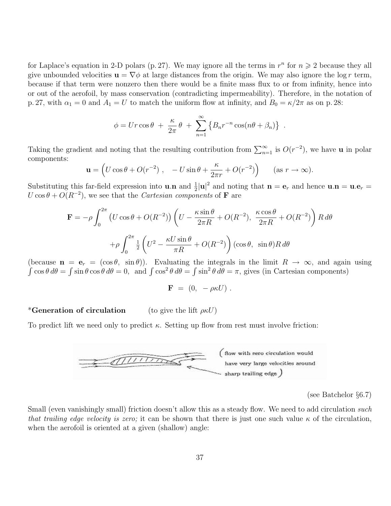for Laplace's equation in 2-D polars (p. 27). We may ignore all the terms in  $r^n$  for  $n \geq 2$  because they all give unbounded velocities  $\mathbf{u} = \nabla \phi$  at large distances from the origin. We may also ignore the log r term, because if that term were nonzero then there would be a finite mass flux to or from infinity, hence into or out of the aerofoil, by mass conservation (contradicting impermeability). Therefore, in the notation of p. 27, with  $\alpha_1 = 0$  and  $A_1 = U$  to match the uniform flow at infinity, and  $B_0 = \kappa/2\pi$  as on p. 28:

$$
\phi = Ur \cos \theta + \frac{\kappa}{2\pi} \theta + \sum_{n=1}^{\infty} \left\{ B_n r^{-n} \cos(n\theta + \beta_n) \right\}
$$

.

Taking the gradient and noting that the resulting contribution from  $\sum_{n=1}^{\infty}$  is  $O(r^{-2})$ , we have **u** in polar components:

$$
\mathbf{u} = \left( U \cos \theta + O(r^{-2}) \right), \quad -U \sin \theta + \frac{\kappa}{2\pi r} + O(r^{-2}) \right) \quad (\text{as } r \to \infty).
$$

Substituting this far-field expression into **u**.**n** and  $\frac{1}{2}|\mathbf{u}|^2$  and noting that  $\mathbf{n} = \mathbf{e}_r$  and hence  $\mathbf{u} \cdot \mathbf{n} = \mathbf{u} \cdot \mathbf{e}_r =$  $U\cos\theta + O(R^{-2})$ , we see that the *Cartesian components* of **F** are

$$
\mathbf{F} = -\rho \int_0^{2\pi} \left( U \cos \theta + O(R^{-2}) \right) \left( U - \frac{\kappa \sin \theta}{2\pi R} + O(R^{-2}), \frac{\kappa \cos \theta}{2\pi R} + O(R^{-2}) \right) R d\theta
$$

$$
+ \rho \int_0^{2\pi} \frac{1}{2} \left( U^2 - \frac{\kappa U \sin \theta}{\pi R} + O(R^{-2}) \right) (\cos \theta, \sin \theta) R d\theta
$$

(because  $\mathbf{n} = \mathbf{e}_r = (\cos \theta, \sin \theta)$ ). Evaluating the integrals in the limit  $R \to \infty$ , and again using  $\int \cos \theta \, d\theta = \int \sin \theta \cos \theta \, d\theta = 0$ , and  $\int \cos^2 \theta \, d\theta = \int \sin^2 \theta \, d\theta = \pi$ , gives (in Cartesian components)

$$
\mathbf{F} = (0, -\rho \kappa U) .
$$

\*Generation of circulation (to give the lift  $\rho \kappa U$ )

To predict lift we need only to predict  $\kappa$ . Setting up flow from rest must involve friction:



(see Batchelor §6.7)

Small (even vanishingly small) friction doesn't allow this as a steady flow. We need to add circulation such that trailing edge velocity is zero; it can be shown that there is just one such value  $\kappa$  of the circulation, when the aerofoil is oriented at a given (shallow) angle: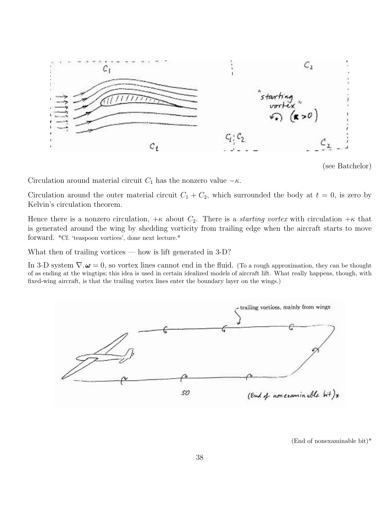

<sup>(</sup>see Batchelor)

Circulation around material circuit  $C_1$  has the nonzero value  $-\kappa$ .

Circulation around the outer material circuit  $C_1 + C_2$ , which surrounded the body at  $t = 0$ , is zero by Kelvin's circulation theorem.

Hence there is a nonzero circulation,  $+\kappa$  about  $C_2$ . There is a *starting vortex* with circulation  $+\kappa$  that is generated around the wing by shedding vorticity from trailing edge when the aircraft starts to move forward. \*Cf. 'teaspoon vortices', done next lecture.\*

What then of trailing vortices — how is lift generated in 3-D?

In 3-D system  $\nabla \cdot \boldsymbol{\omega} = 0$ , so vortex lines cannot end in the fluid. (To a rough approximation, they can be thought of as ending at the wingtips; this idea is used in certain idealized models of aircraft lift. What really happens, though, with fixed-wing aircraft, is that the trailing vortex lines enter the boundary layer on the wings.)



(End of nonexaminable bit)\*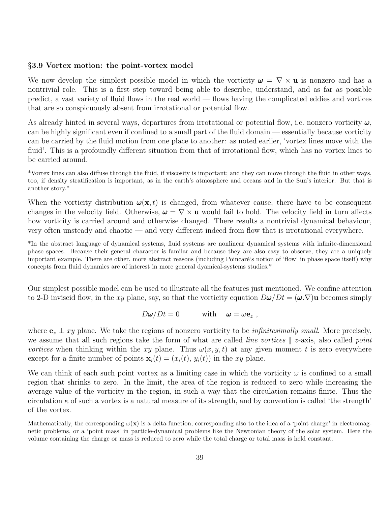#### §3.9 Vortex motion: the point-vortex model

We now develop the simplest possible model in which the vorticity  $\omega = \nabla \times \mathbf{u}$  is nonzero and has a nontrivial role. This is a first step toward being able to describe, understand, and as far as possible predict, a vast variety of fluid flows in the real world — flows having the complicated eddies and vortices that are so conspicuously absent from irrotational or potential flow.

As already hinted in several ways, departures from irrotational or potential flow, i.e. nonzero vorticity  $\omega$ , can be highly significant even if confined to a small part of the fluid domain — essentially because vorticity can be carried by the fluid motion from one place to another: as noted earlier, 'vortex lines move with the fluid'. This is a profoundly different situation from that of irrotational flow, which has no vortex lines to be carried around.

\*Vortex lines can also diffuse through the fluid, if viscosity is important; and they can move through the fluid in other ways, too, if density stratification is important, as in the earth's atmosphere and oceans and in the Sun's interior. But that is another story.\*

When the vorticity distribution  $\omega(\mathbf{x}, t)$  is changed, from whatever cause, there have to be consequent changes in the velocity field. Otherwise,  $\boldsymbol{\omega} = \nabla \times \mathbf{u}$  would fail to hold. The velocity field in turn affects how vorticity is carried around and otherwise changed. There results a nontrivial dynamical behaviour, very often unsteady and chaotic — and very different indeed from flow that is irrotational everywhere.

\*In the abstract language of dynamical systems, fluid systems are nonlinear dynamical systems with infinite-dimensional phase spaces. Because their general character is familar and because they are also easy to observe, they are a uniquely important example. There are other, more abstract reasons (including Poincaré's notion of 'flow' in phase space itself) why concepts from fluid dynamics are of interest in more general dyamical-systems studies.\*

Our simplest possible model can be used to illustrate all the features just mentioned. We confine attention to 2-D inviscid flow, in the xy plane, say, so that the vorticity equation  $D\omega/Dt = (\omega \nabla)u$  becomes simply

 $D\omega/Dt = 0$  with  $\omega = \omega \mathbf{e}_z$ ,

where  $e_z \perp xy$  plane. We take the regions of nonzero vorticity to be *infinitesimally small*. More precisely, we assume that all such regions take the form of what are called *line vortices*  $\|$  z-axis, also called *point* vortices when thinking within the xy plane. Thus  $\omega(x, y, t)$  at any given moment t is zero everywhere except for a finite number of points  $\mathbf{x}_i(t) = (x_i(t), y_i(t))$  in the xy plane.

We can think of each such point vortex as a limiting case in which the vorticity  $\omega$  is confined to a small region that shrinks to zero. In the limit, the area of the region is reduced to zero while increasing the average value of the vorticity in the region, in such a way that the circulation remains finite. Thus the circulation  $\kappa$  of such a vortex is a natural measure of its strength, and by convention is called 'the strength' of the vortex.

Mathematically, the corresponding  $\omega(\mathbf{x})$  is a delta function, corresponding also to the idea of a 'point charge' in electromagnetic problems, or a 'point mass' in particle-dynamical problems like the Newtonian theory of the solar system. Here the volume containing the charge or mass is reduced to zero while the total charge or total mass is held constant.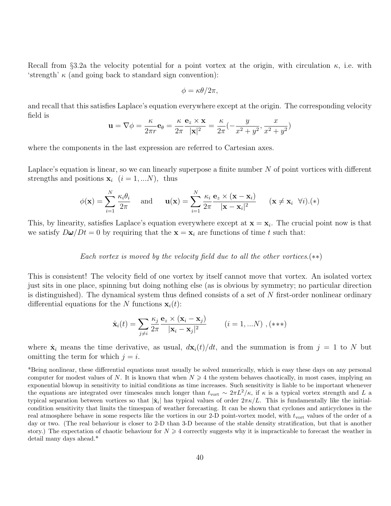Recall from §3.2a the velocity potential for a point vortex at the origin, with circulation  $\kappa$ , i.e. with 'strength'  $\kappa$  (and going back to standard sign convention):

$$
\phi = \kappa \theta / 2\pi,
$$

and recall that this satisfies Laplace's equation everywhere except at the origin. The corresponding velocity field is

$$
\mathbf{u} = \nabla \phi = \frac{\kappa}{2\pi r} \mathbf{e}_{\theta} = \frac{\kappa}{2\pi} \frac{\mathbf{e}_z \times \mathbf{x}}{|\mathbf{x}|^2} = \frac{\kappa}{2\pi} \left( -\frac{y}{x^2 + y^2}, \frac{x}{x^2 + y^2} \right)
$$

where the components in the last expression are referred to Cartesian axes.

Laplace's equation is linear, so we can linearly superpose a finite number  $N$  of point vortices with different strengths and positions  $\mathbf{x}_i$   $(i = 1, ...N)$ , thus

$$
\phi(\mathbf{x}) = \sum_{i=1}^{N} \frac{\kappa_i \theta_i}{2\pi} \quad \text{and} \quad \mathbf{u}(\mathbf{x}) = \sum_{i=1}^{N} \frac{\kappa_i}{2\pi} \frac{\mathbf{e}_z \times (\mathbf{x} - \mathbf{x}_i)}{|\mathbf{x} - \mathbf{x}_i|^2} \quad (\mathbf{x} \neq \mathbf{x}_i \ \forall i). (*)
$$

This, by linearity, satisfies Laplace's equation everywhere except at  $\mathbf{x} = \mathbf{x}_i$ . The crucial point now is that we satisfy  $D\omega/Dt = 0$  by requiring that the  $\mathbf{x} = \mathbf{x}_i$  are functions of time t such that:

## Each vortex is moved by the velocity field due to all the other vortices. $(**)$

This is consistent! The velocity field of one vortex by itself cannot move that vortex. An isolated vortex just sits in one place, spinning but doing nothing else (as is obvious by symmetry; no particular direction is distinguished). The dynamical system thus defined consists of a set of  $N$  first-order nonlinear ordinary differential equations for the N functions  $\mathbf{x}_i(t)$ :

$$
\dot{\mathbf{x}}_i(t) = \sum_{j \neq i} \frac{\kappa_j}{2\pi} \frac{\mathbf{e}_z \times (\mathbf{x}_i - \mathbf{x}_j)}{|\mathbf{x}_i - \mathbf{x}_j|^2} \qquad (i = 1,...N), (\ast \ast \ast)
$$

where  $\dot{\mathbf{x}}_i$  means the time derivative, as usual,  $d\mathbf{x}_i(t)/dt$ , and the summation is from  $j = 1$  to N but omitting the term for which  $j = i$ .

\*Being nonlinear, these differential equations must usually be solved numerically, which is easy these days on any personal computer for modest values of N. It is known that when  $N \geq 4$  the system behaves chaotically, in most cases, implying an exponential blowup in sensitivity to initial conditions as time increases. Such sensitivity is liable to be important whenever the equations are integrated over timescales much longer than  $t_{\text{vort}} \sim 2\pi L^2/\kappa$ , if  $\kappa$  is a typical vortex strength and L a typical separation between vortices so that  $|\dot{\mathbf{x}}_i|$  has typical values of order  $2\pi\kappa/L$ . This is fundamentally like the initialcondition sensitivity that limits the timespan of weather forecasting. It can be shown that cyclones and anticyclones in the real atmosphere behave in some respects like the vortices in our 2-D point-vortex model, with  $t_{\text{vort}}$  values of the order of a day or two. (The real behaviour is closer to 2-D than 3-D because of the stable density stratification, but that is another story.) The expectation of chaotic behaviour for  $N \geq 4$  correctly suggests why it is impracticable to forecast the weather in detail many days ahead.\*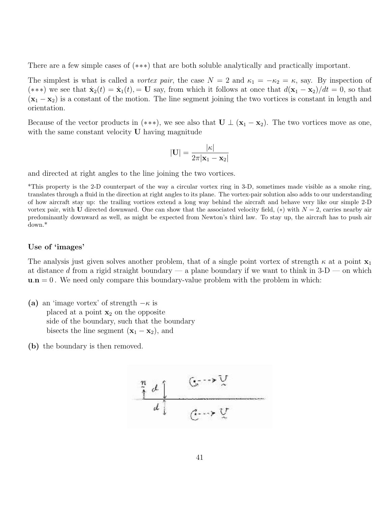There are a few simple cases of (∗∗∗) that are both soluble analytically and practically important.

The simplest is what is called a *vortex pair*, the case  $N = 2$  and  $\kappa_1 = -\kappa_2 = \kappa$ , say. By inspection of (\*\*\*) we see that  $\dot{\mathbf{x}}_2(t) = \dot{\mathbf{x}}_1(t) = \mathbf{U}$  say, from which it follows at once that  $d(\mathbf{x}_1 - \mathbf{x}_2)/dt = 0$ , so that  $(x_1 - x_2)$  is a constant of the motion. The line segment joining the two vortices is constant in length and orientation.

Because of the vector products in (\*\*\*), we see also that  $\mathbf{U} \perp (\mathbf{x}_1 - \mathbf{x}_2)$ . The two vortices move as one, with the same constant velocity **U** having magnitude

$$
|\mathbf{U}| = \frac{|\kappa|}{2\pi|\mathbf{x}_1 - \mathbf{x}_2|}
$$

and directed at right angles to the line joining the two vortices.

\*This property is the 2-D counterpart of the way a circular vortex ring in 3-D, sometimes made visible as a smoke ring, translates through a fluid in the direction at right angles to its plane. The vortex-pair solution also adds to our understanding of how aircraft stay up: the trailing vortices extend a long way behind the aircraft and behave very like our simple 2-D vortex pair, with U directed downward. One can show that the associated velocity field,  $(*)$  with  $N = 2$ , carries nearby air predominantly downward as well, as might be expected from Newton's third law. To stay up, the aircraft has to push air down.\*

# Use of 'images'

The analysis just given solves another problem, that of a single point vortex of strength  $\kappa$  at a point  $\mathbf{x}_1$ at distance d from a rigid straight boundary — a plane boundary if we want to think in  $3-D$  — on which  $u.n = 0$ . We need only compare this boundary-value problem with the problem in which:

- (a) an 'image vortex' of strength  $-\kappa$  is placed at a point  $x_2$  on the opposite side of the boundary, such that the boundary bisects the line segment  $(\mathbf{x}_1 - \mathbf{x}_2)$ , and
- (b) the boundary is then removed.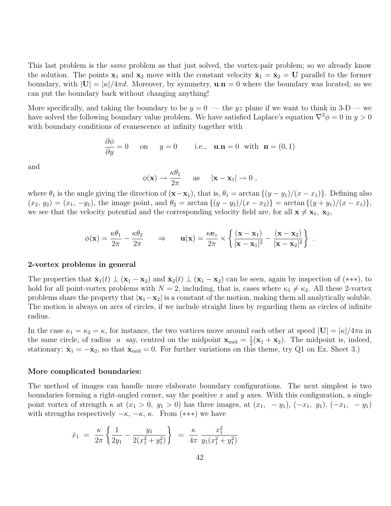This last problem is the *same* problem as that just solved, the vortex-pair problem; so we already know the solution. The points  $x_1$  and  $x_2$  move with the constant velocity  $\dot{x}_1 = \dot{x}_2 = U$  parallel to the former boundary, with  $|U| = |\kappa|/4\pi d$ . Moreover, by symmetry,  $\mathbf{u} \cdot \mathbf{n} = 0$  where the boundary was located; so we can put the boundary back without changing anything!

More specifically, and taking the boundary to be  $y = 0$  — the yz plane if we want to think in 3-D — we have solved the following boundary value problem. We have satisfied Laplace's equation  $\nabla^2 \phi = 0$  in  $y > 0$ with boundary conditions of evanescence at infinity together with

$$
\frac{\partial \phi}{\partial y} = 0 \quad \text{on} \quad y = 0 \quad \text{i.e.,} \quad \mathbf{u}.\mathbf{n} = 0 \text{ with } \mathbf{n} = (0, 1)
$$

and

$$
\phi(\mathbf{x}) \to \frac{\kappa \theta_1}{2\pi}
$$
 as  $|\mathbf{x} - \mathbf{x}_1| \to 0$ ,

where  $\theta_1$  is the angle giving the direction of  $(\mathbf{x}-\mathbf{x}_1)$ , that is,  $\theta_1 = \arctan\{(y-y_1)/(x-x_1)\}$ . Defining also  $(x_2, y_2) = (x_1, -y_1)$ , the image point, and  $\theta_2 = \arctan\{(y - y_2)/(x - x_2)\} = \arctan\{(y + y_1)/(x - x_1)\}$ , we see that the velocity potential and the corresponding velocity field are, for all  $\mathbf{x} \neq \mathbf{x}_1$ ,  $\mathbf{x}_2$ ,

$$
\phi(\mathbf{x}) = \frac{\kappa \theta_1}{2\pi} - \frac{\kappa \theta_2}{2\pi} \qquad \Rightarrow \qquad \mathbf{u}(\mathbf{x}) = \frac{\kappa \mathbf{e}_z}{2\pi} \times \left\{ \frac{(\mathbf{x} - \mathbf{x}_1)}{|\mathbf{x} - \mathbf{x}_1|^2} - \frac{(\mathbf{x} - \mathbf{x}_2)}{|\mathbf{x} - \mathbf{x}_2|^2} \right\} \ .
$$

#### 2-vortex problems in general

The properties that  $\dot{\mathbf{x}}_1(t) \perp (\mathbf{x}_1 - \mathbf{x}_2)$  and  $\dot{\mathbf{x}}_2(t) \perp (\mathbf{x}_1 - \mathbf{x}_2)$  can be seen, again by inspection of (\*\*\*), to hold for all point-vortex problems with  $N = 2$ , including, that is, cases where  $\kappa_1 \neq \kappa_2$ . All these 2-vortex problems share the property that  $|x_1-x_2|$  is a constant of the motion, making them all analytically soluble. The motion is always on arcs of circles, if we include straight lines by regarding them as circles of infinite radius.

In the case  $\kappa_1 = \kappa_2 = \kappa$ , for instance, the two vortices move around each other at speed  $|\mathbf{U}| = |\kappa|/4\pi a$  in the same circle, of radius a say, centred on the midpoint  $\mathbf{x}_{mid} = \frac{1}{2}$  $\frac{1}{2}(\mathbf{x}_1 + \mathbf{x}_2)$ . The midpoint is, indeed, stationary:  $\dot{\mathbf{x}}_1 = -\dot{\mathbf{x}}_2$ , so that  $\dot{\mathbf{x}}_{mid} = 0$ . For further variations on this theme, try Q1 on Ex. Sheet 3.)

#### More complicated boundaries:

The method of images can handle more elaborate boundary configurations. The next simplest is two boundaries forming a right-angled corner, say the positive x and y axes. With this configuration, a single point vortex of strength  $\kappa$  at  $(x_1 > 0, y_1 > 0)$  has three images, at  $(x_1, -y_1), (-x_1, y_1), (-x_1, -y_1)$ with strengths respectively  $-\kappa$ ,  $-\kappa$ ,  $\kappa$ . From (\*\*\*) we have

$$
\dot{x}_1 = \frac{\kappa}{2\pi} \left\{ \frac{1}{2y_1} - \frac{y_1}{2(x_1^2 + y_1^2)} \right\} = \frac{\kappa}{4\pi} \frac{x_1^2}{y_1(x_1^2 + y_1^2)}
$$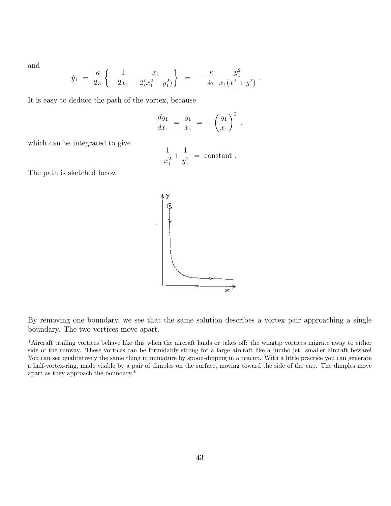and

$$
\dot{y}_1 = \frac{\kappa}{2\pi} \left\{ -\frac{1}{2x_1} + \frac{x_1}{2(x_1^2 + y_1^2)} \right\} = -\frac{\kappa}{4\pi} \frac{y_1^2}{x_1(x_1^2 + y_1^2)}
$$

It is easy to deduce the path of the vortex, because

$$
\frac{dy_1}{dx_1} = \frac{\dot{y}_1}{\dot{x}_1} = -\left(\frac{y_1}{x_1}\right)^3,
$$

.

which can be integrated to give

$$
\frac{1}{x_1^2} + \frac{1}{y_1^2} = \text{constant}.
$$

The path is sketched below.



By removing one boundary, we see that the same solution describes a vortex pair approaching a single boundary. The two vortices move apart.

\*Aircraft trailing vortices behave like this when the aircraft lands or takes off: the wingtip vortices migrate away to either side of the runway. These vortices can be formidably strong for a large aircraft like a jumbo jet: smaller aircraft beware! You can see qualitatively the same thing in miniature by spoon-dipping in a teacup. With a little practice you can generate a half-vortex-ring, made visible by a pair of dimples on the surface, moving toward the side of the cup. The dimples move apart as they approach the boundary.\*